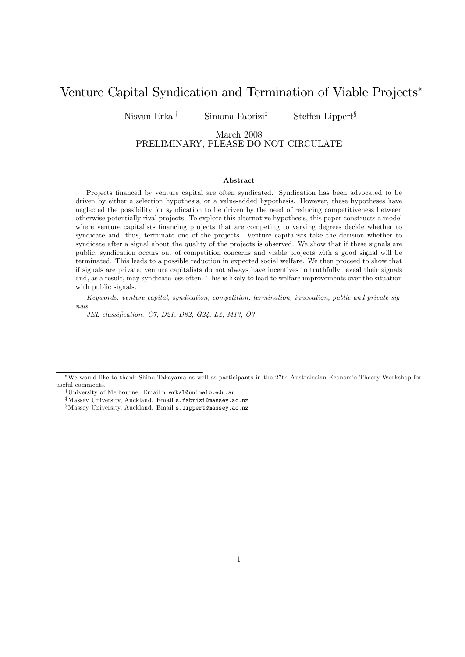# Venture Capital Syndication and Termination of Viable Projects<sup>∗</sup>

Nisvan Erkal<sup>†</sup> Simona Fabrizi<sup>‡</sup> Steffen Lippert<sup>§</sup>

### March 2008 PRELIMINARY, PLEASE DO NOT CIRCULATE

#### Abstract

Projects financed by venture capital are often syndicated. Syndication has been advocated to be driven by either a selection hypothesis, or a value-added hypothesis. However, these hypotheses have neglected the possibility for syndication to be driven by the need of reducing competitiveness between otherwise potentially rival projects. To explore this alternative hypothesis, this paper constructs a model where venture capitalists financing projects that are competing to varying degrees decide whether to syndicate and, thus, terminate one of the projects. Venture capitalists take the decision whether to syndicate after a signal about the quality of the projects is observed. We show that if these signals are public, syndication occurs out of competition concerns and viable projects with a good signal will be terminated. This leads to a possible reduction in expected social welfare. We then proceed to show that if signals are private, venture capitalists do not always have incentives to truthfully reveal their signals and, as a result, may syndicate less often. This is likely to lead to welfare improvements over the situation with public signals.

Keywords: venture capital, syndication, competition, termination, innovation, public and private signals

JEL classification: C7, D21, D82, G24, L2, M13, O3

<sup>∗</sup>We would like to thank Shino Takayama as well as participants in the 27th Australasian Economic Theory Workshop for useful comments.

<sup>†</sup>University of Melbourne. Email n.erkal@unimelb.edu.au

<sup>‡</sup>Massey University, Auckland. Email s.fabrizi@massey.ac.nz

<sup>§</sup>Massey University, Auckland. Email s.lippert@massey.ac.nz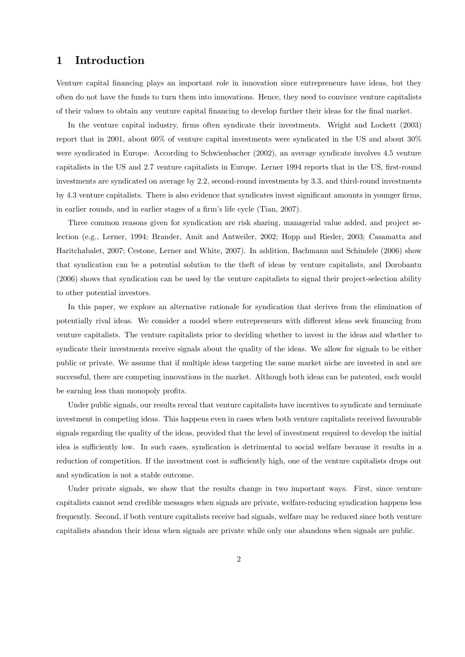## 1 Introduction

Venture capital financing plays an important role in innovation since entrepreneurs have ideas, but they often do not have the funds to turn them into innovations. Hence, they need to convince venture capitalists of their values to obtain any venture capital financing to develop further their ideas for the final market.

In the venture capital industry, firms often syndicate their investments. Wright and Lockett (2003) report that in 2001, about 60% of venture capital investments were syndicated in the US and about 30% were syndicated in Europe. According to Schwienbacher (2002), an average syndicate involves 4.5 venture capitalists in the US and 2.7 venture capitalists in Europe. Lerner 1994 reports that in the US, first-round investments are syndicated on average by 2.2, second-round investments by 3.3, and third-round investments by 4.3 venture capitalists. There is also evidence that syndicates invest significant amounts in younger firms, in earlier rounds, and in earlier stages of a firm's life cycle (Tian, 2007).

Three common reasons given for syndication are risk sharing, managerial value added, and project selection (e.g., Lerner, 1994; Brander, Amit and Antweiler, 2002; Hopp and Rieder, 2003; Casamatta and Haritchabalet, 2007; Cestone, Lerner and White, 2007). In addition, Bachmann and Schindele (2006) show that syndication can be a potential solution to the theft of ideas by venture capitalists, and Dorobantu (2006) shows that syndication can be used by the venture capitalists to signal their project-selection ability to other potential investors.

In this paper, we explore an alternative rationale for syndication that derives from the elimination of potentially rival ideas. We consider a model where entrepreneurs with different ideas seek financing from venture capitalists. The venture capitalists prior to deciding whether to invest in the ideas and whether to syndicate their investments receive signals about the quality of the ideas. We allow for signals to be either public or private. We assume that if multiple ideas targeting the same market niche are invested in and are successful, there are competing innovations in the market. Although both ideas can be patented, each would be earning less than monopoly profits.

Under public signals, our results reveal that venture capitalists have incentives to syndicate and terminate investment in competing ideas. This happens even in cases when both venture capitalists received favourable signals regarding the quality of the ideas, provided that the level of investment required to develop the initial idea is sufficiently low. In such cases, syndication is detrimental to social welfare because it results in a reduction of competition. If the investment cost is sufficiently high, one of the venture capitalists drops out and syndication is not a stable outcome.

Under private signals, we show that the results change in two important ways. First, since venture capitalists cannot send credible messages when signals are private, welfare-reducing syndication happens less frequently. Second, if both venture capitalists receive bad signals, welfare may be reduced since both venture capitalists abandon their ideas when signals are private while only one abandons when signals are public.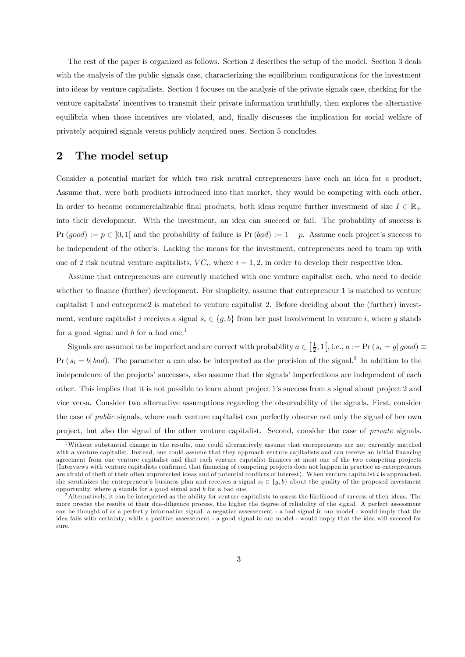The rest of the paper is organized as follows. Section 2 describes the setup of the model. Section 3 deals with the analysis of the public signals case, characterizing the equilibrium configurations for the investment into ideas by venture capitalists. Section 4 focuses on the analysis of the private signals case, checking for the venture capitalists' incentives to transmit their private information truthfully, then explores the alternative equilibria when those incentives are violated, and, finally discusses the implication for social welfare of privately acquired signals versus publicly acquired ones. Section 5 concludes.

### 2 The model setup

Consider a potential market for which two risk neutral entrepreneurs have each an idea for a product. Assume that, were both products introduced into that market, they would be competing with each other. In order to become commercializable final products, both ideas require further investment of size  $I \in \mathbb{R}_+$ into their development. With the investment, an idea can succeed or fail. The probability of success is  $Pr(good) := p \in [0,1]$  and the probability of failure is  $Pr(bad) := 1 - p$ . Assume each project's success to be independent of the other's. Lacking the means for the investment, entrepreneurs need to team up with one of 2 risk neutral venture capitalists,  $VC_i$ , where  $i = 1, 2$ , in order to develop their respective idea.

Assume that entrepreneurs are currently matched with one venture capitalist each, who need to decide whether to finance (further) development. For simplicity, assume that entrepreneur 1 is matched to venture capitalist 1 and entreprene2 is matched to venture capitalist 2. Before deciding about the (further) investment, venture capitalist i receives a signal  $s_i \in \{g, b\}$  from her past involvement in venture i, where g stands for a good signal and  $b$  for a bad one.<sup>1</sup>

Signals are assumed to be imperfect and are correct with probability  $a \in \left[\frac{1}{2}, 1\right[$ , i.e.,  $a := \Pr(s_i = g | good) \equiv$  $Pr(s_i = b | bad)$ . The parameter a can also be interpreted as the precision of the signal.<sup>2</sup> In addition to the independence of the projects' successes, also assume that the signals' imperfections are independent of each other. This implies that it is not possible to learn about project 1's success from a signal about project 2 and vice versa. Consider two alternative assumptions regarding the observability of the signals. First, consider the case of public signals, where each venture capitalist can perfectly observe not only the signal of her own project, but also the signal of the other venture capitalist. Second, consider the case of private signals.

<sup>&</sup>lt;sup>1</sup>Without substantial change in the results, one could alternatively assume that entrepreneurs are not currently matched with a venture capitalist. Instead, one could assume that they approach venture capitalists and can receive an initial financing agreement from one venture capitalist and that each venture capitalist finances at most one of the two competing projects (Interviews with venture capitalists confirmed that financing of competing pro jects does not happen in practice as entrepreneurs are afraid of the ft of their often unprotected ideas and of potential conflicts of interest). When venture capitalist  $i$  is approached, she scrutinizes the entrepreneur's business plan and receives a signal  $s_i \in \{g, b\}$  about the quality of the proposed investment opportunity, where  $g$  stands for a good signal and  $b$  for a bad one.

 $^2$ Alternatively, it can be interpreted as the ability for venture capitalists to assess the likelihood of success of their ideas. The more precise the results of their due-diligence process, the higher the degree of reliability of the signal. A perfect assessment can be thought of as a perfectly informative signal: a negative assessement - a bad signal in our model - would imply that the idea fails with certainty; while a positive assessement - a good signal in our model - would imply that the idea will succeed for sure.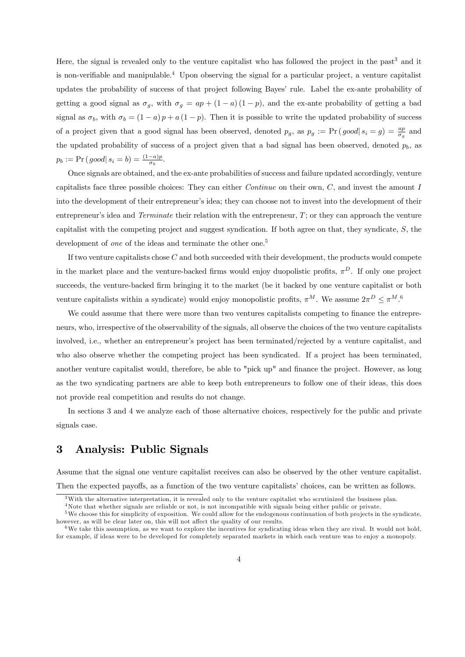Here, the signal is revealed only to the venture capitalist who has followed the project in the past<sup>3</sup> and it is non-verifiable and manipulable.4 Upon observing the signal for a particular project, a venture capitalist updates the probability of success of that project following Bayes' rule. Label the ex-ante probability of getting a good signal as  $\sigma_g$ , with  $\sigma_g = ap + (1 - a)(1 - p)$ , and the ex-ante probability of getting a bad signal as  $\sigma_b$ , with  $\sigma_b = (1 - a)p + a(1 - p)$ . Then it is possible to write the updated probability of success of a project given that a good signal has been observed, denoted  $p_g$ , as  $p_g := Pr(good|s_i = g) = \frac{ap}{\sigma_g}$  and the updated probability of success of a project given that a bad signal has been observed, denoted  $p<sub>b</sub>$ , as  $p_b := Pr(good | s_i = b) = \frac{(1-a)p}{\sigma_b}.$ 

Once signals are obtained, and the ex-ante probabilities of success and failure updated accordingly, venture capitalists face three possible choices: They can either *Continue* on their own,  $C$ , and invest the amount  $I$ into the development of their entrepreneur's idea; they can choose not to invest into the development of their entrepreneur's idea and Terminate their relation with the entrepreneur,  $T$ ; or they can approach the venture capitalist with the competing project and suggest syndication. If both agree on that, they syndicate, S, the development of *one* of the ideas and terminate the other one.<sup>5</sup>

If two venture capitalists chose  $C$  and both succeeded with their development, the products would compete in the market place and the venture-backed firms would enjoy duopolistic profits,  $\pi^D$ . If only one project succeeds, the venture-backed firm bringing it to the market (be it backed by one venture capitalist or both venture capitalists within a syndicate) would enjoy monopolistic profits,  $\pi^M$ . We assume  $2\pi^D \leq \pi^M$ .

We could assume that there were more than two ventures capitalists competing to finance the entrepreneurs, who, irrespective of the observability of the signals, all observe the choices of the two venture capitalists involved, i.e., whether an entrepreneur's project has been terminated/rejected by a venture capitalist, and who also observe whether the competing project has been syndicated. If a project has been terminated, another venture capitalist would, therefore, be able to "pick up" and finance the project. However, as long as the two syndicating partners are able to keep both entrepreneurs to follow one of their ideas, this does not provide real competition and results do not change.

In sections 3 and 4 we analyze each of those alternative choices, respectively for the public and private signals case.

## 3 Analysis: Public Signals

Assume that the signal one venture capitalist receives can also be observed by the other venture capitalist. Then the expected payoffs, as a function of the two venture capitalists' choices, can be written as follows.

<sup>3</sup>With the alternative interpretation, it is revealed only to the venture capitalist who scrutinized the business plan.

<sup>&</sup>lt;sup>4</sup>Note that whether signals are reliable or not, is not incompatible with signals being either public or private.

 $5$ We choose this for simplicity of exposition. We could allow for the endogenous continuation of both projects in the syndicate, however, as will be clear later on, this will not affect the quality of our results.

 $6$ We take this assumption, as we want to explore the incentives for syndicating ideas when they are rival. It would not hold, for example, if ideas were to be developed for completely separated markets in which each venture was to enjoy a monopoly.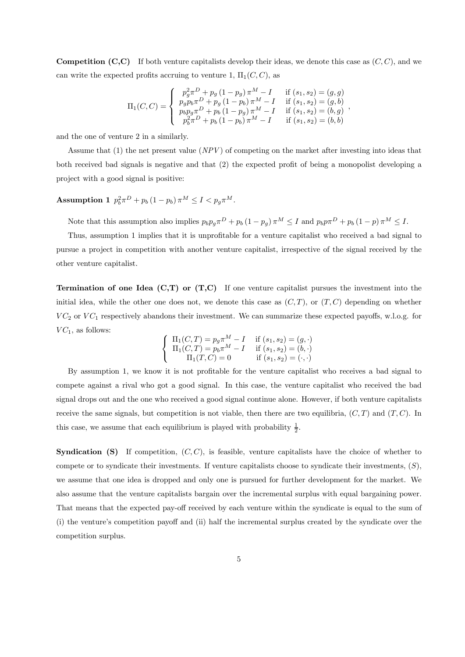**Competition (C,C)** If both venture capitalists develop their ideas, we denote this case as  $(C, C)$ , and we can write the expected profits accruing to venture 1,  $\Pi_1(C, C)$ , as

$$
\Pi_1(C,C) = \begin{cases}\n p_g^2 \pi^D + p_g (1 - p_g) \pi^M - I & \text{if } (s_1, s_2) = (g, g) \\
 p_g p_b \pi^D + p_g (1 - p_b) \pi^M - I & \text{if } (s_1, s_2) = (g, b) \\
 p_b p_g \pi^D + p_b (1 - p_g) \pi^M - I & \text{if } (s_1, s_2) = (b, g) \\
 p_b^2 \pi^D + p_b (1 - p_b) \pi^M - I & \text{if } (s_1, s_2) = (b, b)\n\end{cases}
$$

and the one of venture 2 in a similarly.

Assume that (1) the net present value (NPV ) of competing on the market after investing into ideas that both received bad signals is negative and that (2) the expected profit of being a monopolist developing a project with a good signal is positive:

## Assumption 1  $p_b^2 \pi^D + p_b (1 - p_b) \pi^M \le I < p_g \pi^M$ .

Note that this assumption also implies  $p_b p_g \pi^D + p_b (1 - p_g) \pi^M \leq I$  and  $p_b p \pi^D + p_b (1 - p) \pi^M \leq I$ .

Thus, assumption 1 implies that it is unprofitable for a venture capitalist who received a bad signal to pursue a project in competition with another venture capitalist, irrespective of the signal received by the other venture capitalist.

**Termination of one Idea (C,T) or (T,C)** If one venture capitalist pursues the investment into the initial idea, while the other one does not, we denote this case as  $(C, T)$ , or  $(T, C)$  depending on whether  $VC_2$  or  $VC_1$  respectively abandons their investment. We can summarize these expected payoffs, w.l.o.g. for  $VC_1$ , as follows:

$$
\begin{cases}\n\Pi_1(C,T) = p_g \pi^M - I & \text{if } (s_1, s_2) = (g, \cdot) \\
\Pi_1(C,T) = p_b \pi^M - I & \text{if } (s_1, s_2) = (b, \cdot) \\
\Pi_1(T, C) = 0 & \text{if } (s_1, s_2) = (\cdot, \cdot)\n\end{cases}
$$

By assumption 1, we know it is not profitable for the venture capitalist who receives a bad signal to compete against a rival who got a good signal. In this case, the venture capitalist who received the bad signal drops out and the one who received a good signal continue alone. However, if both venture capitalists receive the same signals, but competition is not viable, then there are two equilibria,  $(C, T)$  and  $(T, C)$ . In this case, we assume that each equilibrium is played with probability  $\frac{1}{2}$ .

**Syndication (S)** If competition,  $(C, C)$ , is feasible, venture capitalists have the choice of whether to compete or to syndicate their investments. If venture capitalists choose to syndicate their investments,  $(S)$ , we assume that one idea is dropped and only one is pursued for further development for the market. We also assume that the venture capitalists bargain over the incremental surplus with equal bargaining power. That means that the expected pay-off received by each venture within the syndicate is equal to the sum of (i) the venture's competition payoff and (ii) half the incremental surplus created by the syndicate over the competition surplus.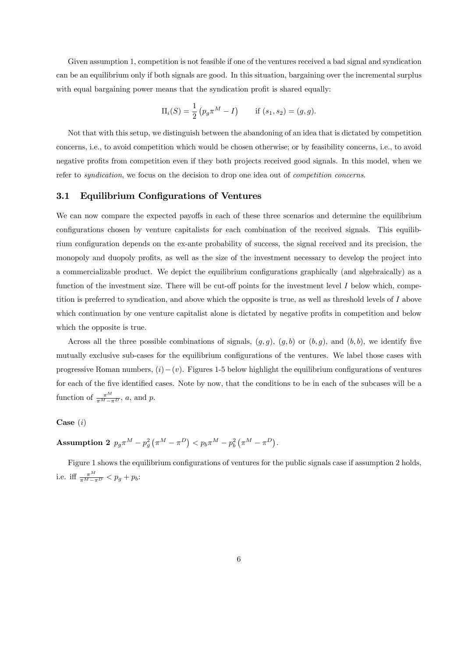Given assumption 1, competition is not feasible if one of the ventures received a bad signal and syndication can be an equilibrium only if both signals are good. In this situation, bargaining over the incremental surplus with equal bargaining power means that the syndication profit is shared equally:

$$
\Pi_i(S) = \frac{1}{2} (p_g \pi^M - I) \quad \text{if } (s_1, s_2) = (g, g).
$$

Not that with this setup, we distinguish between the abandoning of an idea that is dictated by competition concerns, i.e., to avoid competition which would be chosen otherwise; or by feasibility concerns, i.e., to avoid negative profits from competition even if they both projects received good signals. In this model, when we refer to syndication, we focus on the decision to drop one idea out of competition concerns.

#### 3.1 Equilibrium Configurations of Ventures

We can now compare the expected payoffs in each of these three scenarios and determine the equilibrium configurations chosen by venture capitalists for each combination of the received signals. This equilibrium configuration depends on the ex-ante probability of success, the signal received and its precision, the monopoly and duopoly profits, as well as the size of the investment necessary to develop the project into a commercializable product. We depict the equilibrium configurations graphically (and algebraically) as a function of the investment size. There will be cut-off points for the investment level I below which, competition is preferred to syndication, and above which the opposite is true, as well as threshold levels of  $I$  above which continuation by one venture capitalist alone is dictated by negative profits in competition and below which the opposite is true.

Across all the three possible combinations of signals,  $(g, g)$ ,  $(g, b)$  or  $(b, g)$ , and  $(b, b)$ , we identify five mutually exclusive sub-cases for the equilibrium configurations of the ventures. We label those cases with progressive Roman numbers,  $(i) - (v)$ . Figures 1-5 below highlight the equilibrium configurations of ventures for each of the five identified cases. Note by now, that the conditions to be in each of the subcases will be a function of  $\frac{\pi^M}{\pi^M - \pi^D}$ , a, and p.

#### Case  $(i)$

**Assumption 2** 
$$
p_g \pi^M - p_g^2 (\pi^M - \pi^D) < p_b \pi^M - p_b^2 (\pi^M - \pi^D).
$$

Figure 1 shows the equilibrium configurations of ventures for the public signals case if assumption 2 holds, i.e. iff  $\frac{\pi^M}{\pi^M - \pi^D} < p_g + p_b$ :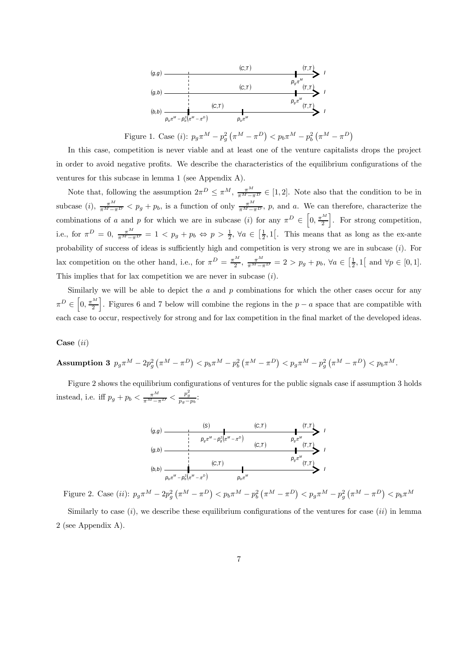

Figure 1. Case (*i*):  $p_g \pi^M - p_g^2 (\pi^M - \pi^D) < p_b \pi^M - p_b^2 (\pi^M - \pi^D)$ 

In this case, competition is never viable and at least one of the venture capitalists drops the project in order to avoid negative profits. We describe the characteristics of the equilibrium configurations of the ventures for this subcase in lemma 1 (see Appendix A).

Note that, following the assumption  $2\pi^D \leq \pi^M$ ,  $\frac{\pi^M}{\pi^M-\pi^D} \in [1,2]$ . Note also that the condition to be in subcase (i),  $\frac{\pi^M}{\pi^M-\pi^D}$  <  $p_g + p_b$ , is a function of only  $\frac{\pi^M}{\pi^M-\pi^D}$ , p, and a. We can therefore, characterize the combinations of a and p for which we are in subcase (i) for any  $\pi^D \in \left[0, \frac{\pi^M}{2}\right]$ . For strong competition, i.e., for  $\pi^D = 0$ ,  $\frac{\pi^M}{\pi^M - \pi^D} = 1 < p_g + p_b \Leftrightarrow p > \frac{1}{2}$ ,  $\forall a \in \left[\frac{1}{2}, 1\right[$ . This means that as long as the ex-ante probability of success of ideas is sufficiently high and competition is very strong we are in subcase  $(i)$ . For lax competition on the other hand, i.e., for  $\pi^D = \frac{\pi^M}{2}$ ,  $\frac{\pi^M}{\pi^M - \pi^D} = 2 > p_g + p_b$ ,  $\forall a \in \left[\frac{1}{2}, 1\right]$  and  $\forall p \in [0, 1]$ . This implies that for lax competition we are never in subcase  $(i)$ .

Similarly we will be able to depict the  $a$  and  $p$  combinations for which the other cases occur for any  $\pi^D \in \left[0, \frac{\pi^M}{2}\right]$ . Figures 6 and 7 below will combine the regions in the  $p − a$  space that are compatible with each case to occur, respectively for strong and for lax competition in the final market of the developed ideas.

#### Case (ii)

**Assumption 3** 
$$
p_g \pi^M - 2p_g^2 (\pi^M - \pi^D) < p_b \pi^M - p_b^2 (\pi^M - \pi^D) < p_g \pi^M - p_g^2 (\pi^M - \pi^D) < p_b \pi^M
$$
.

Figure 2 shows the equilibrium configurations of ventures for the public signals case if assumption 3 holds instead, i.e. iff  $p_g + p_b < \frac{\pi^M}{\pi^M - \pi^D} < \frac{p_g^2}{p_g - p_b}$ :



Figure 2. Case (*ii*):  $p_g \pi^M - 2p_g^2 (\pi^M - \pi^D) < p_b \pi^M - p_b^2 (\pi^M - \pi^D) < p_g \pi^M - p_g^2 (\pi^M - \pi^D) < p_b \pi^M$ Similarly to case  $(i)$ , we describe these equilibrium configurations of the ventures for case  $(ii)$  in lemma 2 (see Appendix A).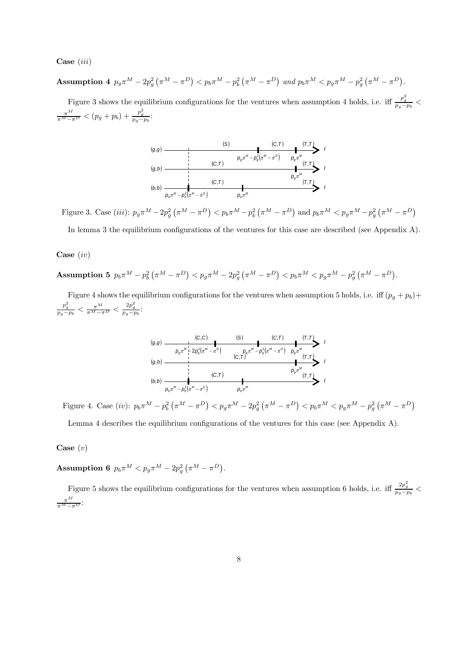$Case (iii)$ 

**Assumption 4** 
$$
p_g \pi^M - 2p_g^2 (\pi^M - \pi^D) < p_b \pi^M - p_b^2 (\pi^M - \pi^D)
$$
 and  $p_b \pi^M < p_g \pi^M - p_g^2 (\pi^M - \pi^D)$ .

Figure 3 shows the equilibrium configurations for the ventures when assumption 4 holds, i.e. iff  $\frac{p_g^2}{p_g-p_b}$  <  $\frac{\pi^M}{\pi^M - \pi^D} < (p_g + p_b) + \frac{p_g^2}{p_g - p_b}$ 



Figure 3. Case (*iii*):  $p_g \pi^M - 2p_g^2 (\pi^M - \pi^D) < p_b \pi^M - p_b^2 (\pi^M - \pi^D)$  and  $p_b \pi^M < p_g \pi^M - p_g^2 (\pi^M - \pi^D)$ 

In lemma 3 the equilibrium configurations of the ventures for this case are described (see Appendix A).

#### Case (iv)

Assumption 5  $p_b \pi^M - p_b^2 (\pi^M - \pi^D) < p_g \pi^M - 2p_g^2 (\pi^M - \pi^D) < p_b \pi^M < p_g \pi^M - p_g^2 (\pi^M - \pi^D)$ .

Figure 4 shows the equilibrium configurations for the ventures when assumption 5 holds, i.e. iff  $(p_g + p_b)$ +  $\frac{p_g^2}{p_g-p_b} < \frac{\pi^M}{\pi^M-\pi^D} < \frac{2p_g^2}{p_g-p_b}$ 

( ) *<sup>M</sup> <sup>D</sup> b <sup>M</sup> pb*<sup>π</sup> − *p* <sup>π</sup> −<sup>π</sup> <sup>2</sup> *<sup>M</sup> pb*<sup>π</sup> *<sup>M</sup> pg*<sup>π</sup> *<sup>M</sup>* ( ) *pg*<sup>π</sup> *<sup>M</sup> <sup>D</sup> g <sup>M</sup> pg*<sup>π</sup> − *p* <sup>π</sup> − <sup>π</sup> <sup>2</sup> ( ) *<sup>M</sup> <sup>D</sup> g <sup>M</sup> pg*<sup>π</sup> − *p* <sup>π</sup> −<sup>π</sup> <sup>2</sup> 2 (*T*,*T* ) (*T*,*T* ) (*T*,*T* ) (*C*,*C*) (*S*) (*C*,*T* ) (*C*,*T* ) (*C*,*T* ) ( ) *g*,*g* ( ) *b*,*b* ( ) *g*,*b I I I*

Figure 4. Case (*iv*):  $p_b \pi^M - p_b^2 (\pi^M - \pi^D) < p_g \pi^M - 2p_g^2 (\pi^M - \pi^D) < p_b \pi^M < p_g \pi^M - p_g^2 (\pi^M - \pi^D)$ 

Lemma 4 describes the equilibrium configurations of the ventures for this case (see Appendix A).

Case  $(v)$ 

Assumption 6  $p_b \pi^M < p_g \pi^M - 2p_g^2 (\pi^M - \pi^D)$ .

Figure 5 shows the equilibrium configurations for the ventures when assumption 6 holds, i.e. iff  $\frac{2p_g^2}{p_g-p_b}$   $\lt$  $\frac{\pi^M}{\pi^M-\pi^D}$ :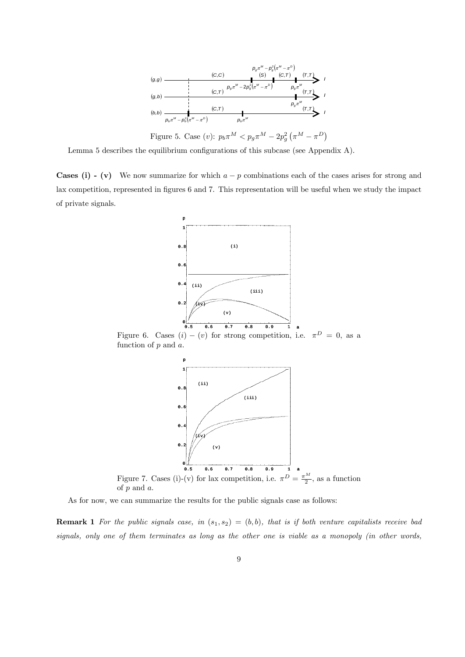

Lemma 5 describes the equilibrium configurations of this subcase (see Appendix A).

**Cases (i) - (v)** We now summarize for which  $a - p$  combinations each of the cases arises for strong and lax competition, represented in figures 6 and 7. This representation will be useful when we study the impact of private signals.



Figure 6. Cases  $(i) - (v)$  for strong competition, i.e.  $\pi^D = 0$ , as a function of  $p$  and  $a$ .



As for now, we can summarize the results for the public signals case as follows:

**Remark 1** For the public signals case, in  $(s_1, s_2)=(b, b)$ , that is if both venture capitalists receive bad signals, only one of them terminates as long as the other one is viable as a monopoly (in other words,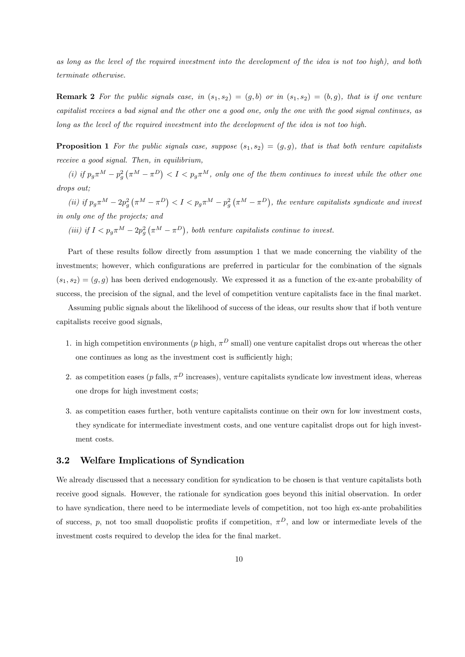as long as the level of the required investment into the development of the idea is not too high), and both terminate otherwise.

**Remark 2** For the public signals case, in  $(s_1, s_2)=(g, b)$  or in  $(s_1, s_2)=(b, g)$ , that is if one venture capitalist receives a bad signal and the other one a good one, only the one with the good signal continues, as long as the level of the required investment into the development of the idea is not too high.

**Proposition 1** For the public signals case, suppose  $(s_1, s_2)=(g, g)$ , that is that both venture capitalists receive a good signal. Then, in equilibrium,

(i) if  $p_g \pi^M - p_g^2 (\pi^M - \pi^D) < I < p_g \pi^M$ , only one of the them continues to invest while the other one drops out;

(ii) if  $p_g \pi^M - 2p_g^2 (\pi^M - \pi^D) < I < p_g \pi^M - p_g^2 (\pi^M - \pi^D)$ , the venture capitalists syndicate and invest in only one of the projects; and

(iii) if  $I < p_g \pi^M - 2p_g^2 (\pi^M - \pi^D)$ , both venture capitalists continue to invest.

Part of these results follow directly from assumption 1 that we made concerning the viability of the investments; however, which configurations are preferred in particular for the combination of the signals  $(s_1, s_2)=(g, g)$  has been derived endogenously. We expressed it as a function of the ex-ante probability of success, the precision of the signal, and the level of competition venture capitalists face in the final market.

Assuming public signals about the likelihood of success of the ideas, our results show that if both venture capitalists receive good signals,

- 1. in high competition environments (p high,  $\pi^D$  small) one venture capitalist drops out whereas the other one continues as long as the investment cost is sufficiently high;
- 2. as competition eases (p falls,  $\pi^D$  increases), venture capitalists syndicate low investment ideas, whereas one drops for high investment costs;
- 3. as competition eases further, both venture capitalists continue on their own for low investment costs, they syndicate for intermediate investment costs, and one venture capitalist drops out for high investment costs.

### 3.2 Welfare Implications of Syndication

We already discussed that a necessary condition for syndication to be chosen is that venture capitalists both receive good signals. However, the rationale for syndication goes beyond this initial observation. In order to have syndication, there need to be intermediate levels of competition, not too high ex-ante probabilities of success, p, not too small duopolistic profits if competition,  $\pi^D$ , and low or intermediate levels of the investment costs required to develop the idea for the final market.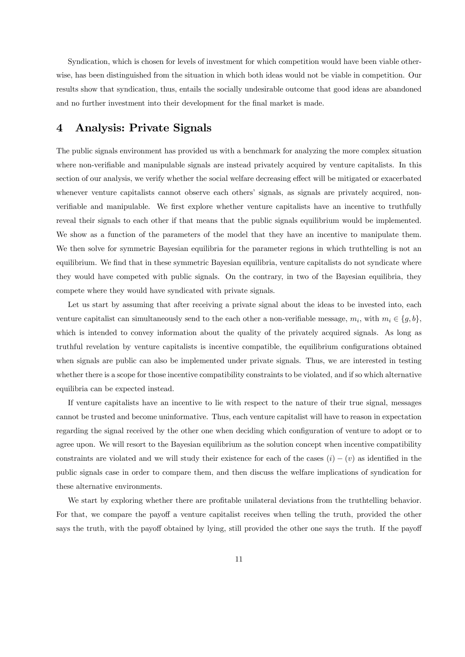Syndication, which is chosen for levels of investment for which competition would have been viable otherwise, has been distinguished from the situation in which both ideas would not be viable in competition. Our results show that syndication, thus, entails the socially undesirable outcome that good ideas are abandoned and no further investment into their development for the final market is made.

## 4 Analysis: Private Signals

The public signals environment has provided us with a benchmark for analyzing the more complex situation where non-verifiable and manipulable signals are instead privately acquired by venture capitalists. In this section of our analysis, we verify whether the social welfare decreasing effect will be mitigated or exacerbated whenever venture capitalists cannot observe each others' signals, as signals are privately acquired, nonverifiable and manipulable. We first explore whether venture capitalists have an incentive to truthfully reveal their signals to each other if that means that the public signals equilibrium would be implemented. We show as a function of the parameters of the model that they have an incentive to manipulate them. We then solve for symmetric Bayesian equilibria for the parameter regions in which truthtelling is not an equilibrium. We find that in these symmetric Bayesian equilibria, venture capitalists do not syndicate where they would have competed with public signals. On the contrary, in two of the Bayesian equilibria, they compete where they would have syndicated with private signals.

Let us start by assuming that after receiving a private signal about the ideas to be invested into, each venture capitalist can simultaneously send to the each other a non-verifiable message,  $m_i$ , with  $m_i \in \{g, b\}$ , which is intended to convey information about the quality of the privately acquired signals. As long as truthful revelation by venture capitalists is incentive compatible, the equilibrium configurations obtained when signals are public can also be implemented under private signals. Thus, we are interested in testing whether there is a scope for those incentive compatibility constraints to be violated, and if so which alternative equilibria can be expected instead.

If venture capitalists have an incentive to lie with respect to the nature of their true signal, messages cannot be trusted and become uninformative. Thus, each venture capitalist will have to reason in expectation regarding the signal received by the other one when deciding which configuration of venture to adopt or to agree upon. We will resort to the Bayesian equilibrium as the solution concept when incentive compatibility constraints are violated and we will study their existence for each of the cases  $(i) - (v)$  as identified in the public signals case in order to compare them, and then discuss the welfare implications of syndication for these alternative environments.

We start by exploring whether there are profitable unilateral deviations from the truthtelling behavior. For that, we compare the payoff a venture capitalist receives when telling the truth, provided the other says the truth, with the payoff obtained by lying, still provided the other one says the truth. If the payoff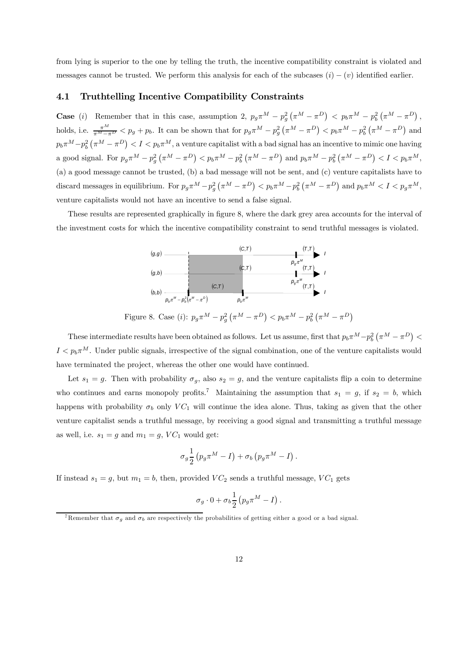from lying is superior to the one by telling the truth, the incentive compatibility constraint is violated and messages cannot be trusted. We perform this analysis for each of the subcases  $(i) - (v)$  identified earlier.

#### 4.1 Truthtelling Incentive Compatibility Constraints

**Case** (*i*) Remember that in this case, assumption 2,  $p_g \pi^M - p_g^2 (\pi^M - \pi^D) < p_b \pi^M - p_b^2 (\pi^M - \pi^D)$ , holds, i.e.  $\frac{\pi^M}{\pi^M-\pi^D} < p_g + p_b$ . It can be shown that for  $p_g \pi^M - p_g^2 (\pi^M - \pi^D) < p_b \pi^M - p_b^2 (\pi^M - \pi^D)$  and  $p_b\pi^M-p_b^2\left(\pi^M-\pi^D\right)< I < p_b\pi^M,$  a venture capitalist with a bad signal has an incentive to mimic one having a good signal. For  $p_g \pi^M - p_g^2 (\pi^M - \pi^D) < p_b \pi^M - p_b^2 (\pi^M - \pi^D)$  and  $p_b \pi^M - p_b^2 (\pi^M - \pi^D) < I < p_b \pi^M$ , (a) a good message cannot be trusted, (b) a bad message will not be sent, and (c) venture capitalists have to discard messages in equilibrium. For  $p_g \pi^M - p_g^2 (\pi^M - \pi^D) < p_b \pi^M - p_b^2 (\pi^M - \pi^D)$  and  $p_b \pi^M < I < p_g \pi^M$ , venture capitalists would not have an incentive to send a false signal.

These results are represented graphically in figure 8, where the dark grey area accounts for the interval of the investment costs for which the incentive compatibility constraint to send truthful messages is violated.



These intermediate results have been obtained as follows. Let us assume, first that  $p_b\pi^M-p_b^2(\pi^M-\pi^D)$  $I < p_b \pi^M$ . Under public signals, irrespective of the signal combination, one of the venture capitalists would have terminated the project, whereas the other one would have continued.

Let  $s_1 = g$ . Then with probability  $\sigma_g$ , also  $s_2 = g$ , and the venture capitalists flip a coin to determine who continues and earns monopoly profits.<sup>7</sup> Maintaining the assumption that  $s_1 = g$ , if  $s_2 = b$ , which happens with probability  $\sigma_b$  only VC<sub>1</sub> will continue the idea alone. Thus, taking as given that the other venture capitalist sends a truthful message, by receiving a good signal and transmitting a truthful message as well, i.e.  $s_1 = g$  and  $m_1 = g$ ,  $VC_1$  would get:

$$
\sigma_g \frac{1}{2} \left( p_g \pi^M - I \right) + \sigma_b \left( p_g \pi^M - I \right).
$$

If instead  $s_1 = g$ , but  $m_1 = b$ , then, provided  $VC_2$  sends a truthful message,  $VC_1$  gets

$$
\sigma_g \cdot 0 + \sigma_b \frac{1}{2} \left( p_g \pi^M - I \right).
$$

<sup>&</sup>lt;sup>7</sup>Remember that  $\sigma_q$  and  $\sigma_b$  are respectively the probabilities of getting either a good or a bad signal.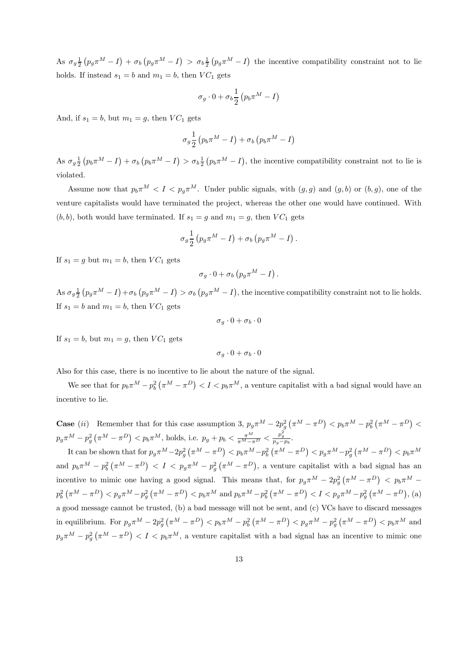As  $\sigma_g \frac{1}{2} (p_g \pi^M - I) + \sigma_b (p_g \pi^M - I) > \sigma_b \frac{1}{2} (p_g \pi^M - I)$  the incentive compatibility constraint not to lie holds. If instead  $s_1 = b$  and  $m_1 = b$ , then  $VC_1$  gets

$$
\sigma_g \cdot 0 + \sigma_b \frac{1}{2} \left( p_b \pi^M - I \right)
$$

And, if  $s_1 = b$ , but  $m_1 = q$ , then  $VC_1$  gets

$$
\sigma_g \frac{1}{2} \left( p_b \pi^M - I \right) + \sigma_b \left( p_b \pi^M - I \right)
$$

As  $\sigma_g \frac{1}{2} (p_b \pi^M - I) + \sigma_b (p_b \pi^M - I) > \sigma_b \frac{1}{2} (p_b \pi^M - I)$ , the incentive compatibility constraint not to lie is violated.

Assume now that  $p_b\pi^M < I < p_g\pi^M$ . Under public signals, with  $(g, g)$  and  $(g, b)$  or  $(b, g)$ , one of the venture capitalists would have terminated the project, whereas the other one would have continued. With  $(b, b)$ , both would have terminated. If  $s_1 = g$  and  $m_1 = g$ , then  $VC_1$  gets

$$
\sigma_g \frac{1}{2} \left( p_g \pi^M - I \right) + \sigma_b \left( p_g \pi^M - I \right).
$$

If  $s_1 = g$  but  $m_1 = b$ , then  $VC_1$  gets

$$
\sigma_g \cdot 0 + \sigma_b \left( p_g \pi^M - I \right).
$$

As  $\sigma_g \frac{1}{2} \left( p_g \pi^M - I \right) + \sigma_b \left( p_g \pi^M - I \right) > \sigma_b \left( p_g \pi^M - I \right)$ , the incentive compatibility constraint not to lie holds. If  $s_1 = b$  and  $m_1 = b$ , then  $VC_1$  gets

$$
\sigma_g \cdot 0 + \sigma_b \cdot 0
$$

If  $s_1 = b$ , but  $m_1 = q$ , then  $VC_1$  gets

$$
\sigma_g\cdot 0+\sigma_b\cdot 0
$$

Also for this case, there is no incentive to lie about the nature of the signal.

We see that for  $p_b \pi^M - p_b^2 (\pi^M - \pi^D) < I < p_b \pi^M$ , a venture capitalist with a bad signal would have an incentive to lie.

**Case** (ii) Remember that for this case assumption 3,  $p_g \pi^M - 2p_g^2 (\pi^M - \pi^D) < p_b \pi^M - p_b^2 (\pi^M - \pi^D)$  $p_g \pi^M - p_g^2 \left( \pi^M - \pi^D \right) < p_b \pi^M$ , holds, i.e.  $p_g + p_b < \frac{\pi^M}{\pi^M - \pi^D} < \frac{p_g^2}{p_g - p_b}$ .

It can be shown that for  $p_g \pi^M - 2p_g^2 (\pi^M - \pi^D) < p_b \pi^M - p_b^2 (\pi^M - \pi^D) < p_g \pi^M - p_g^2 (\pi^M - \pi^D) < p_b \pi^M$ and  $p_b \pi^M - p_b^2 (\pi^M - \pi^D) < I < p_g \pi^M - p_g^2 (\pi^M - \pi^D)$ , a venture capitalist with a bad signal has an incentive to mimic one having a good signal. This means that, for  $p_g \pi^M - 2p_g^2 (\pi^M - \pi^D) < p_b \pi^M$  $p_b^2(\pi^M - \pi^D) < p_g \pi^M - p_g^2(\pi^M - \pi^D) < p_b \pi^M$  and  $p_b \pi^M - p_b^2(\pi^M - \pi^D) < I < p_g \pi^M - p_g^2(\pi^M - \pi^D)$ , (a) a good message cannot be trusted, (b) a bad message will not be sent, and (c) VCs have to discard messages in equilibrium. For  $p_g \pi^M - 2p_g^2 (\pi^M - \pi^D) < p_b \pi^M - p_b^2 (\pi^M - \pi^D) < p_g \pi^M - p_g^2 (\pi^M - \pi^D) < p_b \pi^M$  and  $p_g \pi^M - p_g^2 (\pi^M - \pi^D) < I < p_b \pi^M$ , a venture capitalist with a bad signal has an incentive to mimic one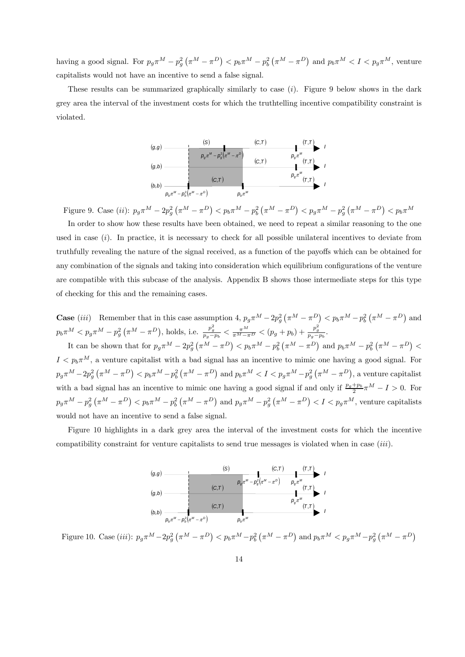having a good signal. For  $p_g \pi^M - p_g^2 (\pi^M - \pi^D) < p_b \pi^M - p_b^2 (\pi^M - \pi^D)$  and  $p_b \pi^M < I < p_g \pi^M$ , venture capitalists would not have an incentive to send a false signal.

These results can be summarized graphically similarly to case (i). Figure 9 below shows in the dark grey area the interval of the investment costs for which the truthtelling incentive compatibility constraint is violated.



Figure 9. Case (*ii*):  $p_g \pi^M - 2p_g^2 (\pi^M - \pi^D) < p_b \pi^M - p_b^2 (\pi^M - \pi^D) < p_g \pi^M - p_g^2 (\pi^M - \pi^D) < p_b \pi^M$ 

In order to show how these results have been obtained, we need to repeat a similar reasoning to the one used in case  $(i)$ . In practice, it is necessary to check for all possible unilateral incentives to deviate from truthfully revealing the nature of the signal received, as a function of the payoffs which can be obtained for any combination of the signals and taking into consideration which equilibrium configurations of the venture are compatible with this subcase of the analysis. Appendix B shows those intermediate steps for this type of checking for this and the remaining cases.

**Case** (*iii*) Remember that in this case assumption 4,  $p_g \pi^M - 2p_g^2 (\pi^M - \pi^D) < p_b \pi^M - p_b^2 (\pi^M - \pi^D)$  and  $p_b \pi^M < p_g \pi^M - p_g^2 \left( \pi^M - \pi^D \right)$ , holds, i.e.  $\frac{p_g^2}{p_g - p_b} < \frac{\pi^M}{\pi^M - \pi^D} < (p_g + p_b) + \frac{p_g^2}{p_g - p_b}$ . It can be shown that for  $p_g \pi^M - 2p_g^2 (\pi^M - \pi^D) < p_b \pi^M - p_b^2 (\pi^M - \pi^D)$  and  $p_b \pi^M - p_b^2 (\pi^M - \pi^D) <$  $I < p_b \pi^M$ , a venture capitalist with a bad signal has an incentive to mimic one having a good signal. For  $p_g\pi^M-2p_g^2\left(\pi^M-\pi^D\right)< p_b\pi^M-p_b^2\left(\pi^M-\pi^D\right)$  and  $p_b\pi^M < I < p_g\pi^M-p_g^2\left(\pi^M-\pi^D\right)$ , a venture capitalist with a bad signal has an incentive to mimic one having a good signal if and only if  $\frac{p_g+p_b}{2}\pi^M - I > 0$ . For  $p_g\pi^M-p_g^2\left(\pi^M-\pi^D\right)< p_b\pi^M-p_b^2\left(\pi^M-\pi^D\right)$  and  $p_g\pi^M-p_g^2\left(\pi^M-\pi^D\right)< I < p_g\pi^M$ , venture capitalists would not have an incentive to send a false signal.

Figure 10 highlights in a dark grey area the interval of the investment costs for which the incentive compatibility constraint for venture capitalists to send true messages is violated when in case (iii).



Figure 10. Case (*iii*):  $p_g \pi^M - 2p_g^2 (\pi^M - \pi^D) < p_b \pi^M - p_b^2 (\pi^M - \pi^D)$  and  $p_b \pi^M < p_g \pi^M - p_g^2 (\pi^M - \pi^D)$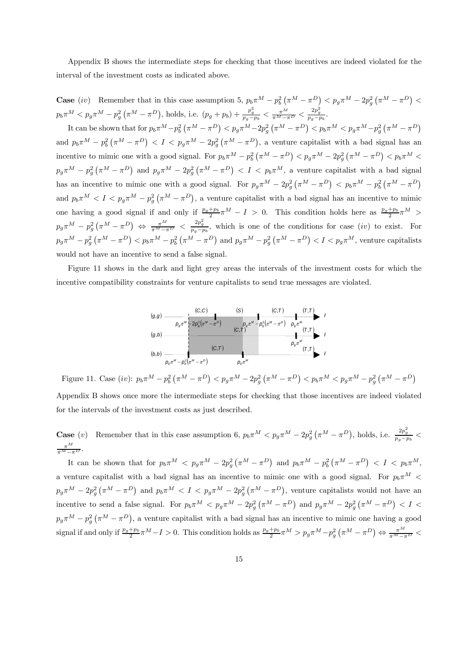Appendix B shows the intermediate steps for checking that those incentives are indeed violated for the interval of the investment costs as indicated above.

**Case** (iv) Remember that in this case assumption 5,  $p_b \pi^M - p_b^2 (\pi^M - \pi^D) < p_g \pi^M - 2p_g^2 (\pi^M - \pi^D) <$  $p_b \pi^M < p_g \pi^M - p_g^2 \left( \pi^M - \pi^D \right)$ , holds, i.e.  $(p_g + p_b) + \frac{p_g^2}{p_g - p_b} < \frac{\pi^M}{\pi^M - \pi^D} < \frac{2p_g^2}{p_g - p_b}$ .

It can be shown that for  $p_b \pi^M - p_b^2 (\pi^M - \pi^D) < p_g \pi^M - 2p_g^2 (\pi^M - \pi^D) < p_b \pi^M < p_g \pi^M - p_g^2 (\pi^M - \pi^D)$ and  $p_b \pi^M - p_b^2 (\pi^M - \pi^D) < I < p_g \pi^M - 2p_g^2 (\pi^M - \pi^D)$ , a venture capitalist with a bad signal has an incentive to mimic one with a good signal. For  $p_b \pi^M - p_b^2 (\pi^M - \pi^D) < p_g \pi^M - 2p_g^2 (\pi^M - \pi^D) < p_b \pi^M <$  $p_g\pi^M - p_g^2(\pi^M - \pi^D)$  and  $p_g\pi^M - 2p_g^2(\pi^M - \pi^D) < I < p_b\pi^M$ , a venture capitalist with a bad signal has an incentive to mimic one with a good signal. For  $p_g \pi^M - 2p_g^2 (\pi^M - \pi^D) < p_b \pi^M - p_b^2 (\pi^M - \pi^D)$ and  $p_b \pi^M < I < p_g \pi^M - p_g^2 (\pi^M - \pi^D)$ , a venture capitalist with a bad signal has an incentive to mimic one having a good signal if and only if  $\frac{p_g+p_b}{2}\pi^M - I > 0$ . This condition holds here as  $\frac{p_g+p_b}{2}\pi^M >$  $p_g\pi^M-p_g^2\left(\pi^M-\pi^D\right) \Leftrightarrow \frac{\pi^M}{\pi^M-\pi^D} < \frac{2p_g^2}{p_g-p_b}$ , which is one of the conditions for case  $(iv)$  to exist. For  $p_g\pi^M-p_g^2\left(\pi^M-\pi^D\right)< p_b\pi^M-p_b^2\left(\pi^M-\pi^D\right)$  and  $p_g\pi^M-p_g^2\left(\pi^M-\pi^D\right)< I < p_g\pi^M$ , venture capitalists would not have an incentive to send a false signal.

Figure 11 shows in the dark and light grey areas the intervals of the investment costs for which the incentive compatibility constraints for venture capitalists to send true messages are violated.



Figure 11. Case (iv):  $p_b \pi^M - p_b^2 (\pi^M - \pi^D) < p_g \pi^M - 2p_g^2 (\pi^M - \pi^D) < p_b \pi^M < p_g \pi^M - p_g^2 (\pi^M - \pi^D)$ Appendix B shows once more the intermediate steps for checking that those incentives are indeed violated

for the intervals of the investment costs as just described.

**Case** (*v*) Remember that in this case assumption 6,  $p_b \pi^M < p_g \pi^M - 2p_g^2 (\pi^M - \pi^D)$ , holds, i.e.  $\frac{2p_g^2}{p_g - p_b} <$  $\frac{\pi^M}{\pi^M-\pi^D}$ .

It can be shown that for  $p_b \pi^M < p_g \pi^M - 2p_g^2 (\pi^M - \pi^D)$  and  $p_b \pi^M - p_b^2 (\pi^M - \pi^D) < I < p_b \pi^M$ , a venture capitalist with a bad signal has an incentive to mimic one with a good signal. For  $p_b\pi^M$  <  $p_g\pi^M - 2p_g^2(\pi^M - \pi^D)$  and  $p_b\pi^M < I < p_g\pi^M - 2p_g^2(\pi^M - \pi^D)$ , venture capitalists would not have an incentive to send a false signal. For  $p_b \pi^M < p_g \pi^M - 2p_g^2 (\pi^M - \pi^D)$  and  $p_g \pi^M - 2p_g^2 (\pi^M - \pi^D) < I <$  $p_g\pi^M - p_g^2(\pi^M - \pi^D)$ , a venture capitalist with a bad signal has an incentive to mimic one having a good signal if and only if  $\frac{p_g+p_b}{2}\pi^M - I > 0$ . This condition holds as  $\frac{p_g+p_b}{2}\pi^M > p_g\pi^M - p_g^2(\pi^M - \pi^D) \Leftrightarrow \frac{\pi^M}{\pi^M - \pi^D}$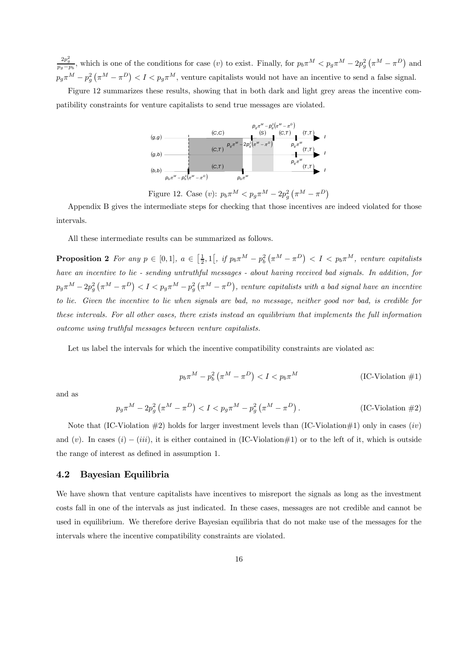$\frac{2p_g^2}{p_g-p_b}$ , which is one of the conditions for case (v) to exist. Finally, for  $p_b\pi^M < p_g\pi^M - 2p_g^2(\pi^M - \pi^D)$  and  $p_g \pi^M - p_g^2 (\pi^M - \pi^D) < I < p_g \pi^M$ , venture capitalists would not have an incentive to send a false signal.

Figure 12 summarizes these results, showing that in both dark and light grey areas the incentive compatibility constraints for venture capitalists to send true messages are violated.



Figure 12. Case (*v*):  $p_b \pi^M < p_g \pi^M - 2p_g^2 (\pi^M - \pi^D)$ 

Appendix B gives the intermediate steps for checking that those incentives are indeed violated for those intervals.

All these intermediate results can be summarized as follows.

**Proposition 2** For any  $p \in [0,1]$ ,  $a \in \left[\frac{1}{2},1\right[$ , if  $p_b \pi^M - p_b^2 \left(\pi^M - \pi^D\right) < I < p_b \pi^M$ , venture capitalists have an incentive to lie - sending untruthful messages - about having received bad signals. In addition, for  $p_g\pi^M-2p_g^2\left(\pi^M-\pi^D\right)< I < p_g\pi^M-p_g^2\left(\pi^M-\pi^D\right)$ , venture capitalists with a bad signal have an incentive to lie. Given the incentive to lie when signals are bad, no message, neither good nor bad, is credible for these intervals. For all other cases, there exists instead an equilibrium that implements the full information outcome using truthful messages between venture capitalists.

Let us label the intervals for which the incentive compatibility constraints are violated as:

$$
p_b \pi^M - p_b^2 \left( \pi^M - \pi^D \right) < I < p_b \pi^M \tag{IC-Violation #1}
$$

and as

$$
p_g \pi^M - 2p_g^2 \left(\pi^M - \pi^D\right) < I < p_g \pi^M - p_g^2 \left(\pi^M - \pi^D\right). \tag{IC-Violation #2}
$$

Note that (IC-Violation  $\#2$ ) holds for larger investment levels than (IC-Violation  $\#1$ ) only in cases (iv) and (v). In cases  $(i) - (iii)$ , it is either contained in (IC-Violation#1) or to the left of it, which is outside the range of interest as defined in assumption 1.

#### 4.2 Bayesian Equilibria

We have shown that venture capitalists have incentives to misreport the signals as long as the investment costs fall in one of the intervals as just indicated. In these cases, messages are not credible and cannot be used in equilibrium. We therefore derive Bayesian equilibria that do not make use of the messages for the intervals where the incentive compatibility constraints are violated.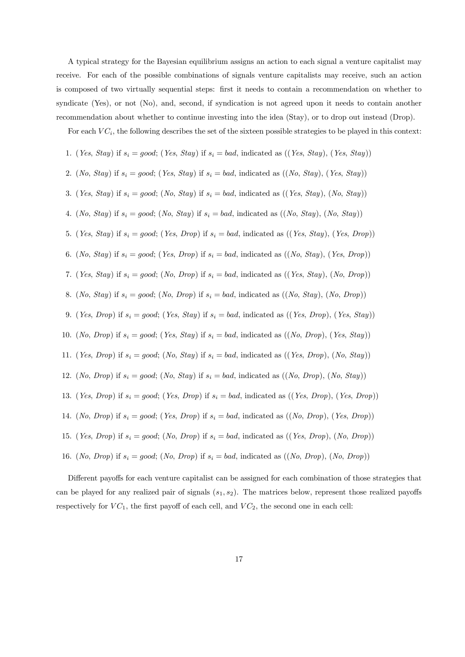A typical strategy for the Bayesian equilibrium assigns an action to each signal a venture capitalist may receive. For each of the possible combinations of signals venture capitalists may receive, such an action is composed of two virtually sequential steps: first it needs to contain a recommendation on whether to syndicate (Yes), or not (No), and, second, if syndication is not agreed upon it needs to contain another recommendation about whether to continue investing into the idea (Stay), or to drop out instead (Drop).

For each  $VC_i$ , the following describes the set of the sixteen possible strategies to be played in this context:

- 1. (Yes, Stay) if  $s_i = good$ ; (Yes, Stay) if  $s_i = bad$ , indicated as ((Yes, Stay), (Yes, Stay))
- 2. (No, Stay) if  $s_i = good;$  (Yes, Stay) if  $s_i = bad$ , indicated as  $((No, Stay), (Yes, Stay))$
- 3. (Yes, Stay) if  $s_i = good;$  (No, Stay) if  $s_i = bad$ , indicated as ((Yes, Stay), (No, Stay))
- 4. (No, Stay) if  $s_i = good;$  (No, Stay) if  $s_i = bad$ , indicated as  $((No, Stay), (No, Stay))$
- 5. (Yes, Stay) if  $s_i = good;$  (Yes, Drop) if  $s_i = bad$ , indicated as ((Yes, Stay), (Yes, Drop))
- 6. (No, Stay) if  $s_i = good$ ; (Yes, Drop) if  $s_i = bad$ , indicated as ((No, Stay), (Yes, Drop))
- 7. (Yes, Stay) if  $s_i = good$ ; (No, Drop) if  $s_i = bad$ , indicated as ((Yes, Stay), (No, Drop))
- 8. (No, Stay) if  $s_i = good;$  (No, Drop) if  $s_i = bad$ , indicated as  $((No, Stay), (No, Drop))$
- 9. (Yes, Drop) if  $s_i = good$ ; (Yes, Stay) if  $s_i = bad$ , indicated as ((Yes, Drop), (Yes, Stay))
- 10. (No, Drop) if  $s_i = good$ ; (Yes, Stay) if  $s_i = bad$ , indicated as ((No, Drop), (Yes, Stay))
- 11. (Yes, Drop) if  $s_i = good$ ; (No, Stay) if  $s_i = bad$ , indicated as ((Yes, Drop), (No, Stay))
- 12. (No, Drop) if  $s_i = good$ ; (No, Stay) if  $s_i = bad$ , indicated as ((No, Drop), (No, Stay))
- 13. (Yes, Drop) if  $s_i = good$ ; (Yes, Drop) if  $s_i = bad$ , indicated as ((Yes, Drop), (Yes, Drop))
- 14. (No, Drop) if  $s_i = good$ ; (Yes, Drop) if  $s_i = bad$ , indicated as ((No, Drop), (Yes, Drop))
- 15. (Yes, Drop) if  $s_i = good; (No, Drop)$  if  $s_i = bad$ , indicated as  $((Yes, Drop), (No, Drop))$
- 16. (No, Drop) if  $s_i = good$ ; (No, Drop) if  $s_i = bad$ , indicated as ((No, Drop), (No, Drop))

Different payoffs for each venture capitalist can be assigned for each combination of those strategies that can be played for any realized pair of signals  $(s_1, s_2)$ . The matrices below, represent those realized payoffs respectively for  $VC_1$ , the first payoff of each cell, and  $VC_2$ , the second one in each cell: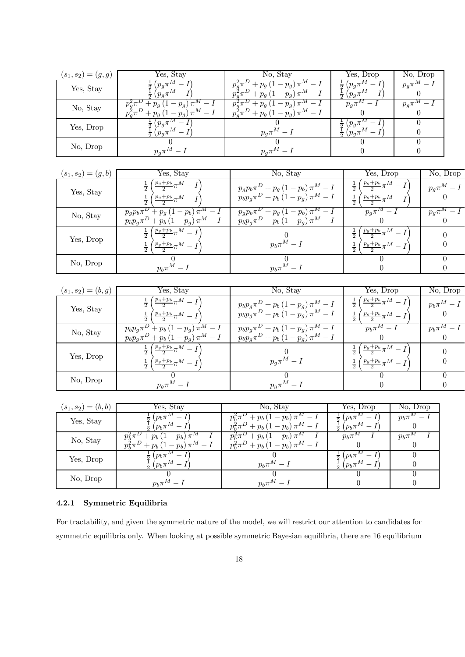| $(s_1, s_2) = (g, g)$ | Yes, Stay                                                               | No, Stay                                                           | Yes, Drop                                | No, Drop |
|-----------------------|-------------------------------------------------------------------------|--------------------------------------------------------------------|------------------------------------------|----------|
| Yes, Stay             | $\cdot p_a \pi$                                                         | $\cdot - p_g$ ) <sup>*</sup><br>$+ p_g (1 - p_q) \pi^M - I$        | $p_a\pi$<br>$\div (p_q \pi^M -$          | $p_a\pi$ |
| No, Stay              | $+ p_g (1-p_g) \pi^m$<br>$p_q^2 \pi^D$<br>$T + p_g (1 - p_g) \pi^M - I$ | $+ p_g (1 - p_g) \pi^F$<br>$p_g^2 \pi^D + p_g (1 - p_g) \pi^M - I$ | $p_a\pi$                                 |          |
| Yes, Drop             | $p_a\pi$                                                                | $p_q \pi^M - I$                                                    | $p_a\pi$<br>$\frac{1}{2}$ $(p_q \pi^M -$ |          |
| No, Drop              | $p_a \pi^M -$                                                           | $p_a\pi^M$ –                                                       |                                          |          |

| $(s_1, s_2) = (g, b)$ | Yes, Stay                                                                                              | No, Stay                                                                                   | Yes, Drop                                                     | No, Drop        |
|-----------------------|--------------------------------------------------------------------------------------------------------|--------------------------------------------------------------------------------------------|---------------------------------------------------------------|-----------------|
| Yes, Stay             | $\frac{p_g+p_b}{2}\pi^M-I$<br>$\frac{p_g+p_b}{2}\pi^M-I$                                               | $p_{g}p_{b}\pi^{D}+p_{g}(1-p_{b})\pi^{M}-I$<br>$p_b p_g \pi^D + p_b (1-p_g) \pi^M - I$     | $\frac{p_g+p_b}{2}\pi^M-I$<br>$\frac{p_g+p_b}{2}\pi^M-I$      | $p_q \pi^M - I$ |
| No, Stay              | $p_g p_b \pi^{\nu}$ + $p_g$ (1 – $p_b$ ) $\pi^{\text{M}}$ –<br>$p_b p_g \pi^D + p_b (1-p_g) \pi^M - I$ | $p_{g}p_{b}\pi^{\nu}+p_{g}(1-p_{b})\pi^{M}-I$<br>$p_b p_g \pi^D + p_b (1 - p_g) \pi^M - I$ | $p_q \pi^M - I$                                               | $p_a\pi^m-I$    |
| Yes, Drop             | $\left(\frac{p_g+p_b}{2}\pi^M-I\right)$<br>$\frac{p_g+p_b}{2}\pi^M-I$                                  | $p_b \pi^M - I$                                                                            | $\frac{p_g+p_b}{2}\pi^M-I$<br>$\frac{p_g + p_b}{2} \pi^M - I$ |                 |
| No, Drop              | $p_b \pi^M - I$                                                                                        | $p_b \pi^M - I$                                                                            |                                                               |                 |

| $(s_1, s_2) = (b, g)$ | Yes, Stay                                                                              | No, Stay                                                                             | Yes, Drop                                                             | $\bar{N}$ o, Drop |
|-----------------------|----------------------------------------------------------------------------------------|--------------------------------------------------------------------------------------|-----------------------------------------------------------------------|-------------------|
| Yes, Stay             | $\frac{p_g+p_b}{2}\pi^M-I$<br>$\left(\frac{p_g+p_b}{2}\pi^M-I\right)$                  | $p_b p_g \pi^D + p_b (1-p_g) \pi^M - I$<br>$p_b p_g \pi^D + p_b (1 - p_g) \pi^M - I$ | $\frac{p_g+p_b}{2}\pi^M-I$<br>$\frac{p_g+p_b}{2}\pi^M-I$              | $p_b \pi^M - I$   |
| No, Stay              | $p_b p_g \pi^D + p_b (1 - p_g) \pi^M - I$<br>$p_b p_g \pi^D + p_b (1 - p_g) \pi^M - I$ | $p_b p_g \pi^D + p_b (1-p_g) \pi^M - I$<br>$p_b p_g \pi^D + p_b (1 - p_g) \pi^M - I$ | $p_b \pi^M - I$                                                       | $p_h \pi^M - I$   |
| Yes, Drop             | $\left(\frac{p_g+p_b}{2}\pi^M-I\right)$<br>$\frac{p_g+p_b}{2}\pi^M-I$                  | $p_q \pi^M - I$                                                                      | $\frac{p_g+p_b}{2}\pi^M-I$<br>$\left(\frac{p_g+p_b}{2}\pi^M-I\right)$ |                   |
| No, Drop              | $p_q \pi^M - I$                                                                        | $p_q \pi^M - I$                                                                      |                                                                       |                   |

| $(s_1,s_2)=(b,b)$ | Yes, Stay                                                   | No, Stay                                                      | Yes, Drop                         | No, Drop    |
|-------------------|-------------------------------------------------------------|---------------------------------------------------------------|-----------------------------------|-------------|
| Yes, Stay         | $p_b\pi$<br>$\iota$ ( $p_b \pi^M -$ .                       | $+p_b(1-p_b)\pi$<br>$p_h^2 \pi^D + p_b (1-p_b) \pi^M - I$     | $1p_h\pi$<br>$-$ ( $p_b \pi^M$ –  | $p_h \pi^m$ |
| No, Stay          | $+p_b(1-p_b)\pi^4$<br>$p_h^2 \pi^D + p_b (1-p_b) \pi^M - I$ | $+p_b(1-p_b)\pi^{M}$<br>$p_h^2 \pi^D + p_b (1-p_b) \pi^M - I$ | $p_h \pi^M$                       | $p_b \pi$   |
| Yes, Drop         | $p_b \pi$<br>$(p_b \pi^M - \mu)$                            | $p_b \pi^M - I$                                               | $p_b \pi$<br>$\sim$ ( $p_b \pi^M$ |             |
| No, Drop          | $p_b \pi^M - I$                                             | $p_b \pi^M - 1$                                               |                                   |             |

## 4.2.1 Symmetric Equilibria

For tractability, and given the symmetric nature of the model, we will restrict our attention to candidates for symmetric equilibria only. When looking at possible symmetric Bayesian equilibria, there are 16 equilibrium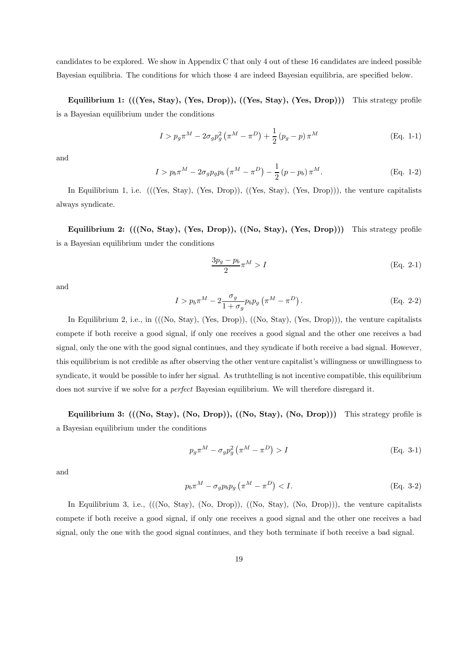candidates to be explored. We show in Appendix C that only 4 out of these 16 candidates are indeed possible Bayesian equilibria. The conditions for which those 4 are indeed Bayesian equilibria, are specified below.

Equilibrium 1: (((Yes, Stay), (Yes, Drop)), ((Yes, Stay), (Yes, Drop))) This strategy profile is a Bayesian equilibrium under the conditions

$$
I > p_g \pi^M - 2\sigma_g p_g^2 \left(\pi^M - \pi^D\right) + \frac{1}{2} \left(p_g - p\right) \pi^M
$$
 (Eq. 1-1)

and

$$
I > p_b \pi^M - 2\sigma_g p_g p_b \left(\pi^M - \pi^D\right) - \frac{1}{2} \left(p - p_b\right) \pi^M.
$$
 (Eq. 1-2)

In Equilibrium 1, i.e.  $(((Yes, Star), (Yes, Drop)), ((Yes, Star), (Yes, Drop)))$ , the venture capitalists always syndicate.

Equilibrium 2:  $(((No, Stay), (Yes, Drop)), ((No, Stay), (Yes, Drop)))$  This strategy profile is a Bayesian equilibrium under the conditions

$$
\frac{3p_g - p_b}{2}\pi^M > I
$$
 (Eq. 2-1)

and

$$
I > p_b \pi^M - 2 \frac{\sigma_g}{1 + \sigma_g} p_b p_g \left( \pi^M - \pi^D \right). \tag{Eq. 2-2}
$$

In Equilibrium 2, i.e., in (((No, Stay), (Yes, Drop)), ((No, Stay), (Yes, Drop))), the venture capitalists compete if both receive a good signal, if only one receives a good signal and the other one receives a bad signal, only the one with the good signal continues, and they syndicate if both receive a bad signal. However, this equilibrium is not credible as after observing the other venture capitalist's willingness or unwillingness to syndicate, it would be possible to infer her signal. As truthtelling is not incentive compatible, this equilibrium does not survive if we solve for a perfect Bayesian equilibrium. We will therefore disregard it.

Equilibrium 3:  $(((No, Stay), (No, Drop)), ((No, Stay), (No, Drop)))$  This strategy profile is a Bayesian equilibrium under the conditions

$$
p_g \pi^M - \sigma_g p_g^2 \left( \pi^M - \pi^D \right) > I \tag{Eq. 3-1}
$$

and

$$
p_b \pi^M - \sigma_g p_b p_g \left( \pi^M - \pi^D \right) < I. \tag{Eq. 3-2}
$$

In Equilibrium 3, i.e.,  $(((No, Stay), (No, Drop)), ((No, Stay), (No, Drop)))$ , the venture capitalists compete if both receive a good signal, if only one receives a good signal and the other one receives a bad signal, only the one with the good signal continues, and they both terminate if both receive a bad signal.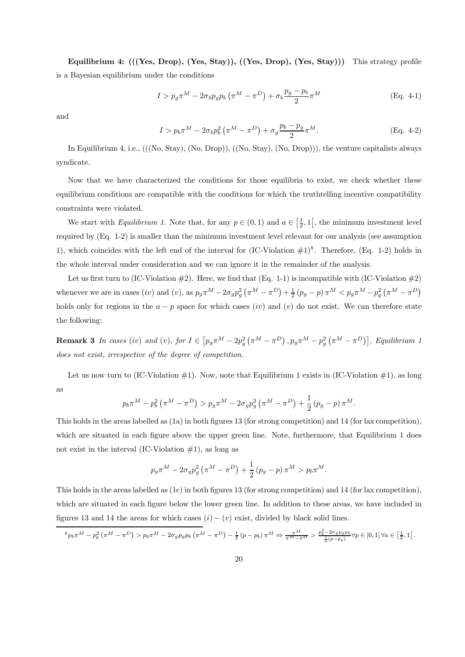Equilibrium 4: (((Yes, Drop), (Yes, Stay)), ((Yes, Drop), (Yes, Stay))) This strategy profile is a Bayesian equilibrium under the conditions

$$
I > p_g \pi^M - 2\sigma_b p_g p_b \left(\pi^M - \pi^D\right) + \sigma_b \frac{p_g - p_b}{2} \pi^M
$$
 (Eq. 4-1)

and

$$
I > p_b \pi^M - 2\sigma_b p_b^2 \left(\pi^M - \pi^D\right) + \sigma_g \frac{p_b - p_g}{2} \pi^M.
$$
 (Eq. 4-2)

In Equilibrium 4, i.e., (((No, Stay), (No, Drop)), ((No, Stay), (No, Drop))), the venture capitalists always syndicate.

Now that we have characterized the conditions for those equilibria to exist, we check whether these equilibrium conditions are compatible with the conditions for which the truthtelling incentive compatibility constraints were violated.

We start with *Equilibrium 1*. Note that, for any  $p \in (0,1)$  and  $a \in \left[\frac{1}{2},1\right[$ , the minimum investment level required by (Eq. 1-2) is smaller than the minimum investment level relevant for our analysis (see assumption 1), which coincides with the left end of the interval for  $(IC-Violation #1)^8$ . Therefore,  $(Eq. 1-2)$  holds in the whole interval under consideration and we can ignore it in the remainder of the analysis.

Let us first turn to (IC-Violation  $\#2$ ). Here, we find that (Eq. 1-1) is incompatible with (IC-Violation  $\#2$ ) whenever we are in cases (iv) and (v), as  $p_g \pi^M - 2\sigma_g p_g^2 (\pi^M - \pi^D) + \frac{1}{2} (p_g - p) \pi^M < p_g \pi^M - p_g^2 (\pi^M - \pi^D)$ holds only for regions in the  $a - p$  space for which cases (iv) and (v) do not exist. We can therefore state the following:

**Remark 3** In cases (iv) and (v), for  $I \in [p_g \pi^M - 2p_g^2 (\pi^M - \pi^D), p_g \pi^M - p_g^2 (\pi^M - \pi^D)]$ , Equilibrium 1 does not exist, irrespective of the degree of competition.

Let us now turn to (IC-Violation  $\#1$ ). Now, note that Equilibrium 1 exists in (IC-Violation  $\#1$ ), as long as

$$
p_b \pi^M - p_b^2 \left( \pi^M - \pi^D \right) > p_g \pi^M - 2\sigma_g p_g^2 \left( \pi^M - \pi^D \right) + \frac{1}{2} \left( p_g - p \right) \pi^M.
$$

This holds in the areas labelled as (1a) in both figures 13 (for strong competition) and 14 (for lax competition), which are situated in each figure above the upper green line. Note, furthermore, that Equilibrium 1 does not exist in the interval (IC-Violation  $\#1$ ), as long as

$$
p_g \pi^M - 2\sigma_g p_g^2 \left( \pi^M - \pi^D \right) + \frac{1}{2} \left( p_g - p \right) \pi^M > p_b \pi^M.
$$

This holds in the areas labelled as (1c) in both figures 13 (for strong competition) and 14 (for lax competition), which are situated in each figure below the lower green line. In addition to these areas, we have included in figures 13 and 14 the areas for which cases  $(i) - (v)$  exist, divided by black solid lines.

$$
{}^{8}p_b\pi^M - p_b^2\left(\pi^M - \pi^D\right) > p_b\pi^M - 2\sigma_g p_g p_b\left(\pi^M - \pi^D\right) - \frac{1}{2}\left(p - p_b\right)\pi^M \Leftrightarrow \frac{\pi^M}{\pi^M - \pi^D} > \frac{p_b^2 - 2\sigma_g p_g p_b}{\frac{1}{2}(p - p_b)} \forall p \in [0, 1] \,\forall a \in \left[\frac{1}{2}, 1\right[.
$$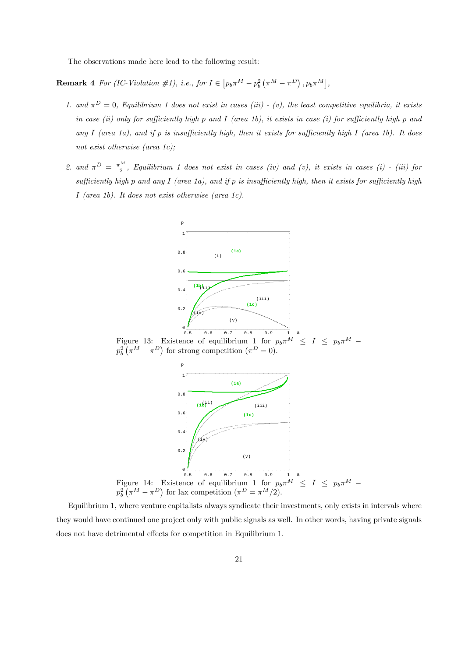The observations made here lead to the following result:

**Remark 4** For (IC-Violation #1), i.e., for  $I \in [p_b \pi^M - p_b^2 (\pi^M - \pi^D)$ ,  $p_b \pi^M]$ ,

- 1. and  $\pi^D = 0$ , Equilibrium 1 does not exist in cases (iii) (v), the least competitive equilibria, it exists in case (ii) only for sufficiently high p and I (area 1b), it exists in case (i) for sufficiently high p and any I (area 1a), and if p is insufficiently high, then it exists for sufficiently high I (area 1b). It does not exist otherwise (area 1c);
- 2. and  $\pi^D = \frac{\pi^M}{2}$ , Equilibrium 1 does not exist in cases (iv) and (v), it exists in cases (i) (iii) for sufficiently high p and any  $I$  (area 1a), and if p is insufficiently high, then it exists for sufficiently high I (area 1b). It does not exist otherwise (area 1c).





Equilibrium 1, where venture capitalists always syndicate their investments, only exists in intervals where they would have continued one project only with public signals as well. In other words, having private signals does not have detrimental effects for competition in Equilibrium 1.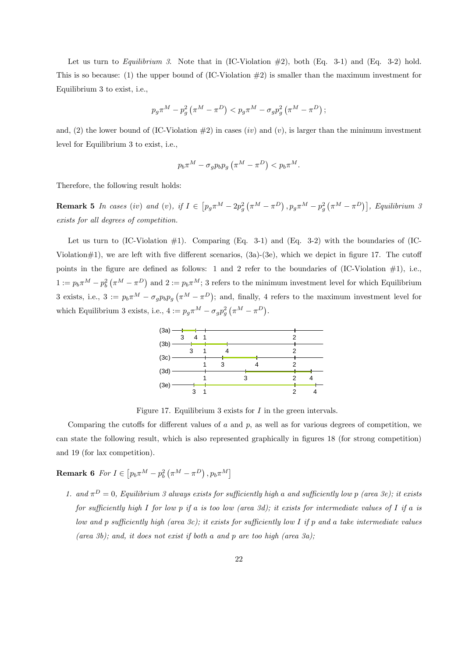Let us turn to Equilibrium 3. Note that in (IC-Violation  $\#2$ ), both (Eq. 3-1) and (Eq. 3-2) hold. This is so because: (1) the upper bound of (IC-Violation  $\#2$ ) is smaller than the maximum investment for Equilibrium 3 to exist, i.e.,

$$
p_g\pi^M-p_g^2\left(\pi^M-\pi^D\right)
$$

and, (2) the lower bound of (IC-Violation  $#2$ ) in cases (iv) and (v), is larger than the minimum investment level for Equilibrium 3 to exist, i.e.,

$$
p_b \pi^M - \sigma_g p_b p_g \left( \pi^M - \pi^D \right) < p_b \pi^M.
$$

Therefore, the following result holds:

**Remark 5** In cases (iv) and (v), if  $I \in [p_g \pi^M - 2p_g^2 (\pi^M - \pi^D), p_g \pi^M - p_g^2 (\pi^M - \pi^D)]$ , Equilibrium 3 exists for all degrees of competition.

Let us turn to  $(IC-Violation \#1)$ . Comparing  $(Eq. 3-1)$  and  $(Eq. 3-2)$  with the boundaries of  $(IC-Violation \#1)$ . Violation $\#1$ , we are left with five different scenarios,  $(3a)-(3e)$ , which we depict in figure 17. The cutoff points in the figure are defined as follows: 1 and 2 refer to the boundaries of  $(IC-Violation #1)$ , i.e.,  $1 := p_b \pi^M - p_b^2 (\pi^M - \pi^D)$  and  $2 := p_b \pi^M$ ; 3 refers to the minimum investment level for which Equilibrium 3 exists, i.e.,  $3 := p_b \pi^M - \sigma_g p_b p_g (\pi^M - \pi^D)$ ; and, finally, 4 refers to the maximum investment level for which Equilibrium 3 exists, i.e.,  $4 := p_g \pi^M - \sigma_g p_g^2 (\pi^M - \pi^D)$ .



Figure 17. Equilibrium 3 exists for I in the green intervals.

Comparing the cutoffs for different values of  $a$  and  $p$ , as well as for various degrees of competition, we can state the following result, which is also represented graphically in figures 18 (for strong competition) and 19 (for lax competition).

**Remark 6** For  $I \in [p_b \pi^M - p_b^2 (\pi^M - \pi^D), p_b \pi^M]$ 

1. and  $\pi^D = 0$ , Equilibrium 3 always exists for sufficiently high a and sufficiently low p (area 3e); it exists for sufficiently high I for low p if a is too low (area 3d); it exists for intermediate values of I if a is low and p sufficiently high (area 3c); it exists for sufficiently low I if p and a take intermediate values (area 3b); and, it does not exist if both a and p are too high (area 3a);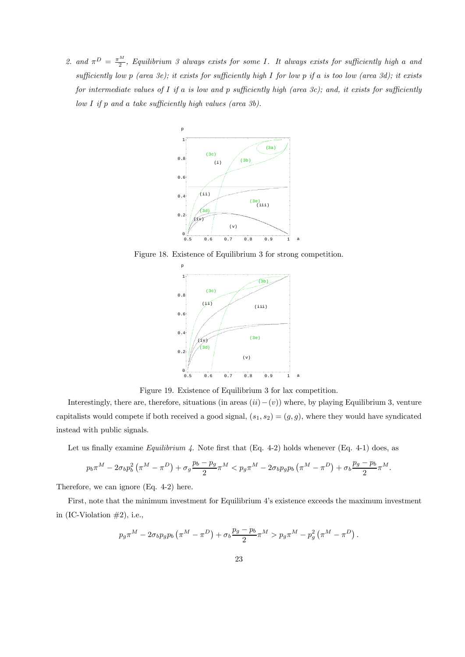2. and  $\pi^D = \frac{\pi^M}{2}$ , Equilibrium 3 always exists for some I. It always exists for sufficiently high a and sufficiently low p (area 3e); it exists for sufficiently high I for low p if a is too low (area 3d); it exists for intermediate values of  $I$  if a is low and p sufficiently high (area 3c); and, it exists for sufficiently  $low I$  if  $p$  and a take sufficiently high values (area  $3b$ ).



Figure 18. Existence of Equilibrium 3 for strong competition.



Figure 19. Existence of Equilibrium 3 for lax competition.

Interestingly, there are, therefore, situations (in areas  $(ii) - (v)$ ) where, by playing Equilibrium 3, venture capitalists would compete if both received a good signal,  $(s_1, s_2)=(g, g)$ , where they would have syndicated instead with public signals.

Let us finally examine *Equilibrium 4*. Note first that  $(Eq. 4-2)$  holds whenever  $(Eq. 4-1)$  does, as

$$
p_b\pi^M - 2\sigma_b p_b^2 \left(\pi^M - \pi^D\right) + \sigma_g \frac{p_b - p_g}{2} \pi^M < p_g \pi^M - 2\sigma_b p_g p_b \left(\pi^M - \pi^D\right) + \sigma_b \frac{p_g - p_b}{2} \pi^M.
$$

Therefore, we can ignore (Eq. 4-2) here.

First, note that the minimum investment for Equilibrium 4's existence exceeds the maximum investment in (IC-Violation  $#2$ ), i.e.,

$$
p_g \pi^M - 2\sigma_b p_g p_b \left( \pi^M - \pi^D \right) + \sigma_b \frac{p_g - p_b}{2} \pi^M > p_g \pi^M - p_g^2 \left( \pi^M - \pi^D \right).
$$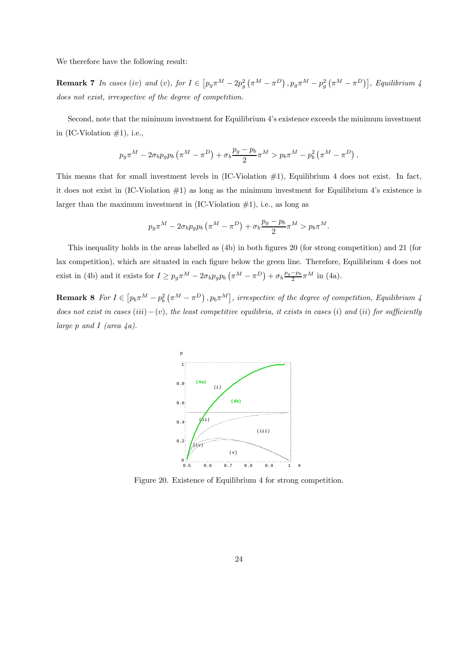We therefore have the following result:

**Remark 7** In cases (iv) and (v), for  $I \in [p_g \pi^M - 2p_g^2 (\pi^M - \pi^D), p_g \pi^M - p_g^2 (\pi^M - \pi^D)]$ , Equilibrium 4 does not exist, irrespective of the degree of competition.

Second, note that the minimum investment for Equilibrium 4's existence exceeds the minimum investment in  $(IC-Violation #1)$ , i.e.,

$$
p_g \pi^M - 2\sigma_b p_g p_b \left( \pi^M - \pi^D \right) + \sigma_b \frac{p_g - p_b}{2} \pi^M > p_b \pi^M - p_b^2 \left( \pi^M - \pi^D \right).
$$

This means that for small investment levels in (IC-Violation #1), Equilibrium 4 does not exist. In fact, it does not exist in  $(IC-Violation \#1)$  as long as the minimum investment for Equilibrium 4's existence is larger than the maximum investment in  $(IC-Violation #1)$ , i.e., as long as

$$
p_g \pi^M - 2\sigma_b p_g p_b \left(\pi^M - \pi^D\right) + \sigma_b \frac{p_g - p_b}{2} \pi^M > p_b \pi^M.
$$

This inequality holds in the areas labelled as (4b) in both figures 20 (for strong competition) and 21 (for lax competition), which are situated in each figure below the green line. Therefore, Equilibrium 4 does not exist in (4b) and it exists for  $I \geq p_g \pi^M - 2\sigma_b p_g p_b \left( \pi^M - \pi^D \right) + \sigma_b \frac{p_g - p_b}{2} \pi^M$  in (4a).

**Remark 8** For  $I \in [p_b \pi^M - p_b^2 (\pi^M - \pi^D), p_b \pi^M]$ , irrespective of the degree of competition, Equilibrium 4 does not exist in cases  $(iii)-(v)$ , the least competitive equilibria, it exists in cases  $(i)$  and  $(ii)$  for sufficiently large p and I (area  $\angle a$ ).



Figure 20. Existence of Equilibrium 4 for strong competition.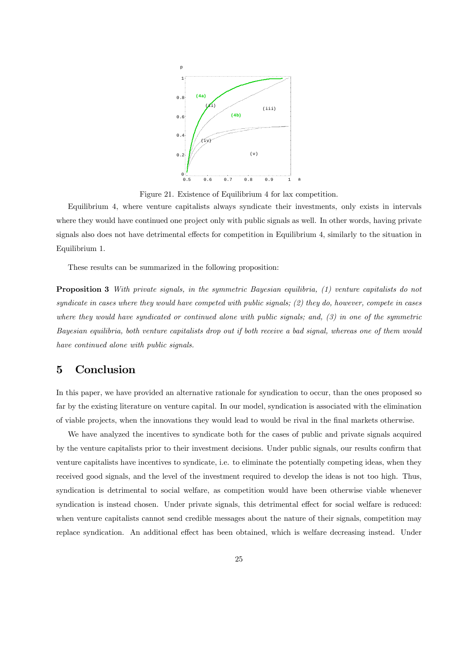

Figure 21. Existence of Equilibrium 4 for lax competition.

Equilibrium 4, where venture capitalists always syndicate their investments, only exists in intervals where they would have continued one project only with public signals as well. In other words, having private signals also does not have detrimental effects for competition in Equilibrium 4, similarly to the situation in Equilibrium 1.

These results can be summarized in the following proposition:

Proposition 3 With private signals, in the symmetric Bayesian equilibria, (1) venture capitalists do not syndicate in cases where they would have competed with public signals; (2) they do, however, compete in cases where they would have syndicated or continued alone with public signals; and, (3) in one of the symmetric Bayesian equilibria, both venture capitalists drop out if both receive a bad signal, whereas one of them would have continued alone with public signals.

## 5 Conclusion

In this paper, we have provided an alternative rationale for syndication to occur, than the ones proposed so far by the existing literature on venture capital. In our model, syndication is associated with the elimination of viable projects, when the innovations they would lead to would be rival in the final markets otherwise.

We have analyzed the incentives to syndicate both for the cases of public and private signals acquired by the venture capitalists prior to their investment decisions. Under public signals, our results confirm that venture capitalists have incentives to syndicate, i.e. to eliminate the potentially competing ideas, when they received good signals, and the level of the investment required to develop the ideas is not too high. Thus, syndication is detrimental to social welfare, as competition would have been otherwise viable whenever syndication is instead chosen. Under private signals, this detrimental effect for social welfare is reduced: when venture capitalists cannot send credible messages about the nature of their signals, competition may replace syndication. An additional effect has been obtained, which is welfare decreasing instead. Under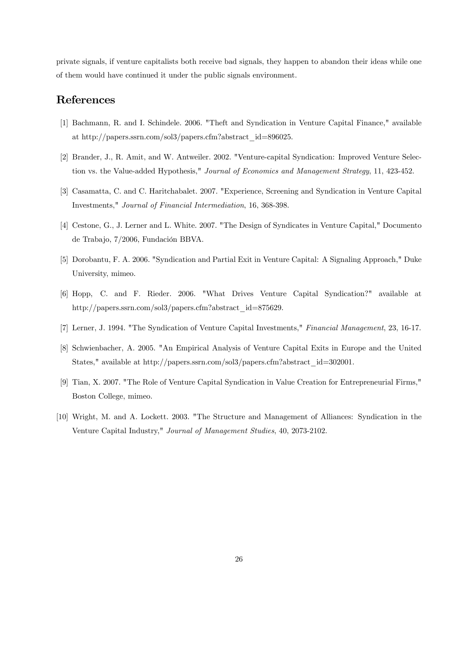private signals, if venture capitalists both receive bad signals, they happen to abandon their ideas while one of them would have continued it under the public signals environment.

## References

- [1] Bachmann, R. and I. Schindele. 2006. "Theft and Syndication in Venture Capital Finance," available at http://papers.ssrn.com/sol3/papers.cfm?abstract\_id=896025.
- [2] Brander, J., R. Amit, and W. Antweiler. 2002. "Venture-capital Syndication: Improved Venture Selection vs. the Value-added Hypothesis," Journal of Economics and Management Strategy, 11, 423-452.
- [3] Casamatta, C. and C. Haritchabalet. 2007. "Experience, Screening and Syndication in Venture Capital Investments," Journal of Financial Intermediation, 16, 368-398.
- [4] Cestone, G., J. Lerner and L. White. 2007. "The Design of Syndicates in Venture Capital," Documento de Trabajo, 7/2006, Fundación BBVA.
- [5] Dorobantu, F. A. 2006. "Syndication and Partial Exit in Venture Capital: A Signaling Approach," Duke University, mimeo.
- [6] Hopp, C. and F. Rieder. 2006. "What Drives Venture Capital Syndication?" available at http://papers.ssrn.com/sol3/papers.cfm?abstract\_id=875629.
- [7] Lerner, J. 1994. "The Syndication of Venture Capital Investments," Financial Management, 23, 16-17.
- [8] Schwienbacher, A. 2005. "An Empirical Analysis of Venture Capital Exits in Europe and the United States," available at http://papers.ssrn.com/sol3/papers.cfm?abstract\_id=302001.
- [9] Tian, X. 2007. "The Role of Venture Capital Syndication in Value Creation for Entrepreneurial Firms," Boston College, mimeo.
- [10] Wright, M. and A. Lockett. 2003. "The Structure and Management of Alliances: Syndication in the Venture Capital Industry," Journal of Management Studies, 40, 2073-2102.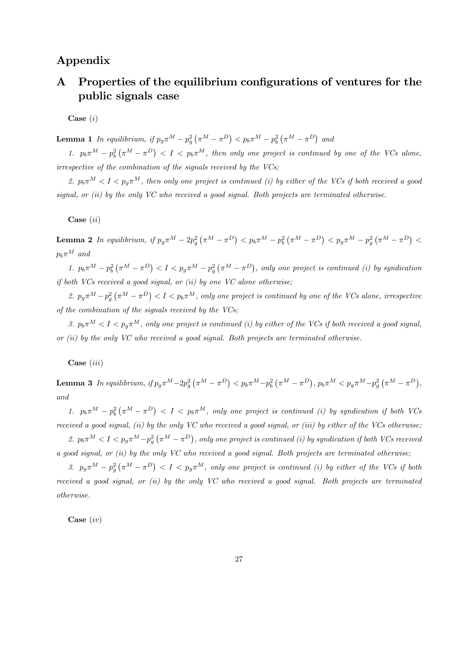## Appendix

# A Properties of the equilibrium configurations of ventures for the public signals case

 $Case (i)$ 

**Lemma 1** In equilibrium, if  $p_g \pi^M - p_g^2 (\pi^M - \pi^D) < p_b \pi^M - p_b^2 (\pi^M - \pi^D)$  and

1.  $p_b \pi^M - p_b^2 (\pi^M - \pi^D) < I < p_b \pi^M$ , then only one project is continued by one of the VCs alone, irrespective of the combination of the signals received by the VCs;

2.  $p_b\pi^M < I < p_a\pi^M$ , then only one project is continued (i) by either of the VCs if both received a good signal, or  $(ii)$  by the only VC who received a good signal. Both projects are terminated otherwise.

Case (ii)

Lemma 2 In equilibrium, if  $p_g \pi^M - 2p_g^2 (\pi^M - \pi^D) < p_b \pi^M - p_b^2 (\pi^M - \pi^D) < p_g \pi^M - p_g^2 (\pi^M - \pi^D) <$  $p_b \pi^M$  and

1.  $p_b \pi^M - p_b^2 (\pi^M - \pi^D) < I < p_g \pi^M - p_g^2 (\pi^M - \pi^D)$ , only one project is continued (i) by syndication if both VCs received a good signal, or  $(ii)$  by one VC alone otherwise;

2.  $p_g \pi^M - p_g^2 (\pi^M - \pi^D) < I < p_b \pi^M$ , only one project is continued by one of the VCs alone, irrespective of the combination of the signals received by the VCs;

3.  $p_b\pi^M < I < p_a\pi^M$ , only one project is continued (i) by either of the VCs if both received a good signal, or (ii) by the only VC who received a good signal. Both projects are terminated otherwise.

Case (iii)

**Lemma 3** In equilibrium, if  $p_g \pi^M - 2p_g^2 (\pi^M - \pi^D) < p_b \pi^M - p_b^2 (\pi^M - \pi^D)$ ,  $p_b \pi^M < p_g \pi^M - p_g^2 (\pi^M - \pi^D)$ , and

1.  $p_b \pi^M - p_b^2 (\pi^M - \pi^D)$  <  $I$  <  $p_b \pi^M$ , only one project is continued (i) by syndication if both VCs received a good signal, (ii) by the only VC who received a good signal, or (iii) by either of the VCs otherwise;

2.  $p_b \pi^M < I < p_g \pi^M - p_g^2 (\pi^M - \pi^D)$ , only one project is continued (i) by syndication if both VCs received a good signal, or (ii) by the only VC who received a good signal. Both projects are terminated otherwise;

3.  $p_g \pi^M - p_g^2 (\pi^M - \pi^D) < I < p_g \pi^M$ , only one project is continued (i) by either of the VCs if both received a good signal, or (ii) by the only VC who received a good signal. Both projects are terminated otherwise.

Case (iv)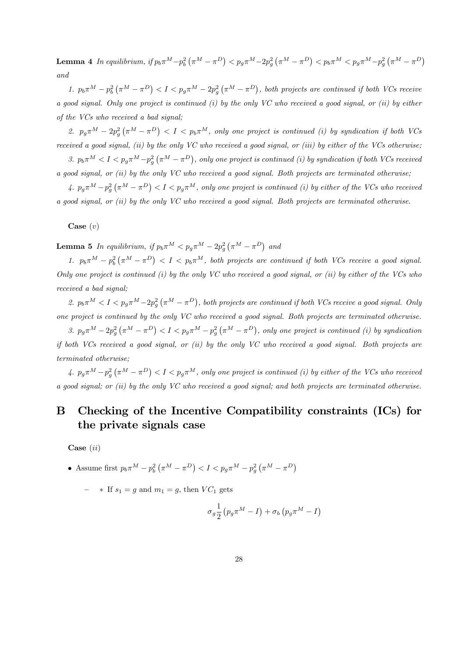Lemma 4 In equilibrium, if  $p_b \pi^M - p_b^2 (\pi^M - \pi^D) < p_g \pi^M - 2p_g^2 (\pi^M - \pi^D) < p_b \pi^M < p_g \pi^M - p_g^2 (\pi^M - \pi^D)$ and

1.  $p_b \pi^M - p_b^2 (\pi^M - \pi^D) < I < p_g \pi^M - 2p_g^2 (\pi^M - \pi^D)$ , both projects are continued if both VCs receive a good signal. Only one project is continued (i) by the only VC who received a good signal, or (ii) by either of the VCs who received a bad signal;

2.  $p_g \pi^M - 2p_g^2 (\pi^M - \pi^D) < I < p_b \pi^M$ , only one project is continued (i) by syndication if both VCs received a good signal, (ii) by the only VC who received a good signal, or (iii) by either of the VCs otherwise;

3.  $p_b \pi^M < I < p_g \pi^M - p_g^2 (\pi^M - \pi^D)$ , only one project is continued (i) by syndication if both VCs received a good signal, or (ii) by the only VC who received a good signal. Both projects are terminated otherwise;

4.  $p_g \pi^M - p_g^2 (\pi^M - \pi^D) < I < p_g \pi^M$ , only one project is continued (i) by either of the VCs who received a good signal, or (ii) by the only VC who received a good signal. Both projects are terminated otherwise.

Case  $(v)$ 

**Lemma 5** In equilibrium, if  $p_b \pi^M < p_g \pi^M - 2p_g^2 (\pi^M - \pi^D)$  and

1.  $p_b \pi^M - p_b^2 (\pi^M - \pi^D) < I < p_b \pi^M$ , both projects are continued if both VCs receive a good signal. Only one project is continued (i) by the only VC who received a good signal, or (ii) by either of the VCs who received a bad signal:

2.  $p_b \pi^M < I < p_g \pi^M - 2p_g^2 (\pi^M - \pi^D)$ , both projects are continued if both VCs receive a good signal. Only one project is continued by the only VC who received a good signal. Both projects are terminated otherwise.

3.  $p_g \pi^M - 2p_g^2 (\pi^M - \pi^D) < I < p_g \pi^M - p_g^2 (\pi^M - \pi^D)$ , only one project is continued (i) by syndication if both VCs received a good signal, or (ii) by the only VC who received a good signal. Both projects are terminated otherwise;

4.  $p_g \pi^M - p_g^2 (\pi^M - \pi^D) < I < p_g \pi^M$ , only one project is continued (i) by either of the VCs who received a good signal; or (ii) by the only VC who received a good signal; and both projects are terminated otherwise.

# B Checking of the Incentive Compatibility constraints (ICs) for the private signals case

Case (ii)

• Assume first 
$$
p_b \pi^M - p_b^2 \left( \pi^M - \pi^D \right) < I < p_g \pi^M - p_g^2 \left( \pi^M - \pi^D \right)
$$

 $-$  \* If  $s_1 = g$  and  $m_1 = g$ , then  $VC_1$  gets

$$
\sigma_g \frac{1}{2} \left( p_g \pi^M - I \right) + \sigma_b \left( p_g \pi^M - I \right)
$$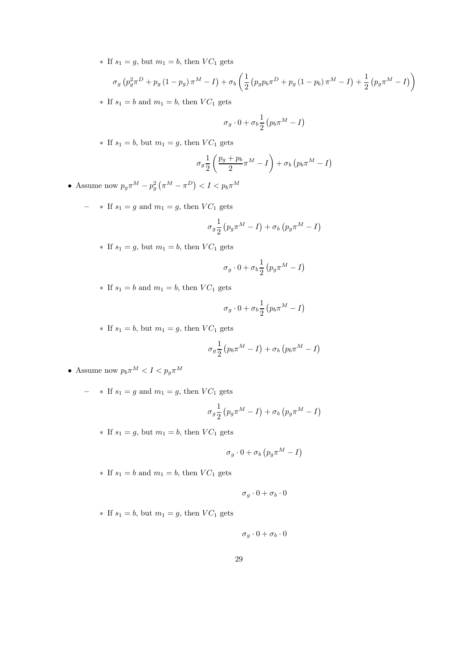∗ If  $s_1 = g$ , but  $m_1 = b$ , then  $VC_1$  gets

$$
\sigma_g \left( p_g^2 \pi^D + p_g \left( 1 - p_g \right) \pi^M - I \right) + \sigma_b \left( \frac{1}{2} \left( p_g p_b \pi^D + p_g \left( 1 - p_b \right) \pi^M - I \right) + \frac{1}{2} \left( p_g \pi^M - I \right) \right)
$$

∗ If  $s_1 = b$  and  $m_1 = b$ , then  $VC_1$  gets

$$
\sigma_g \cdot 0 + \sigma_b \frac{1}{2} \left( p_b \pi^M - I \right)
$$

∗ If  $s_1 = b$ , but  $m_1 = g$ , then  $VC_1$  gets

$$
\sigma_g \frac{1}{2} \left( \frac{p_g + p_b}{2} \pi^M - I \right) + \sigma_b \left( p_b \pi^M - I \right)
$$

- Assume now  $p_g \pi^M p_g^2 \left( \pi^M \pi^D \right) < I < p_b \pi^M$ 
	- ∗ If  $s_1 = g$  and  $m_1 = g$ , then  $VC_1$  gets

$$
\sigma_g \frac{1}{2} \left( p_g \pi^M - I \right) + \sigma_b \left( p_g \pi^M - I \right)
$$

∗ If  $s_1 = g$ , but  $m_1 = b$ , then  $VC_1$  gets

$$
\sigma_g \cdot 0 + \sigma_b \frac{1}{2} \left( p_g \pi^M - I \right)
$$

∗ If  $s_1 = b$  and  $m_1 = b$ , then  $VC_1$  gets

$$
\sigma_g \cdot 0 + \sigma_b \frac{1}{2} \left( p_b \pi^M - I \right)
$$

∗ If  $s_1 = b$ , but  $m_1 = g$ , then  $VC_1$  gets

$$
\sigma_g \frac{1}{2} \left( p_b \pi^M - I \right) + \sigma_b \left( p_b \pi^M - I \right)
$$

- Assume now  $p_b \pi^M < I < p_g \pi^M$ 
	- ∗ If  $s_1 = g$  and  $m_1 = g$ , then  $VC_1$  gets

$$
\sigma_g \frac{1}{2} \left( p_g \pi^M - I \right) + \sigma_b \left( p_g \pi^M - I \right)
$$

∗ If  $s_1 = g$ , but  $m_1 = b$ , then  $VC_1$  gets

$$
\sigma_g \cdot 0 + \sigma_b \left( p_g \pi^M - I \right)
$$

 $*$  If  $s_1 = b$  and  $m_1 = b$ , then  $VC_1$  gets

$$
\sigma_g \cdot 0 + \sigma_b \cdot 0
$$

∗ If  $s_1 = b$ , but  $m_1 = g$ , then  $VC_1$  gets

$$
\sigma_g \cdot 0 + \sigma_b \cdot 0
$$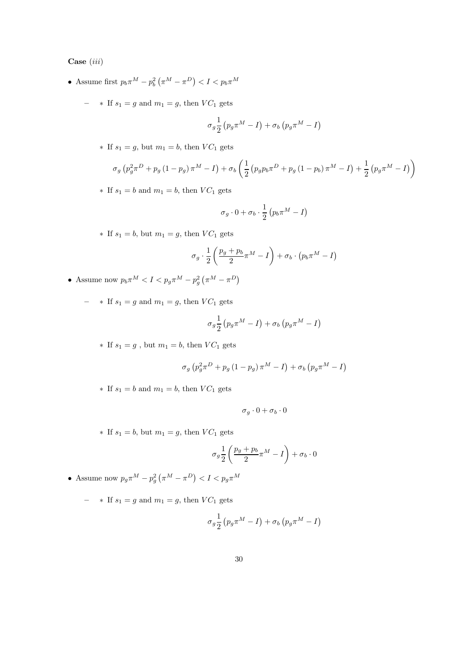Case (iii)

- Assume first  $p_b \pi^M p_b^2 \left( \pi^M \pi^D \right) < I < p_b \pi^M$ 
	- ∗ If  $s_1 = g$  and  $m_1 = g$ , then  $VC_1$  gets

$$
\sigma_g \frac{1}{2} \left( p_g \pi^M - I \right) + \sigma_b \left( p_g \pi^M - I \right)
$$

∗ If  $s_1 = g$ , but  $m_1 = b$ , then  $VC_1$  gets

$$
\sigma_g \left( p_g^2 \pi^D + p_g \left( 1 - p_g \right) \pi^M - I \right) + \sigma_b \left( \frac{1}{2} \left( p_g p_b \pi^D + p_g \left( 1 - p_b \right) \pi^M - I \right) + \frac{1}{2} \left( p_g \pi^M - I \right) \right)
$$

∗ If  $s_1 = b$  and  $m_1 = b$ , then  $VC_1$  gets

$$
\sigma_g \cdot 0 + \sigma_b \cdot \frac{1}{2} \left( p_b \pi^M - I \right)
$$

∗ If  $s_1 = b$ , but  $m_1 = g$ , then  $VC_1$  gets

$$
\sigma_g \cdot \frac{1}{2} \left( \frac{p_g + p_b}{2} \pi^M - I \right) + \sigma_b \cdot (p_b \pi^M - I)
$$

- Assume now  $p_b \pi^M < I < p_g \pi^M p_g^2 \left( \pi^M \pi^D \right)$ 
	- ∗ If  $s_1 = g$  and  $m_1 = g$ , then  $VC_1$  gets

$$
\sigma_g \frac{1}{2} \left( p_g \pi^M - I \right) + \sigma_b \left( p_g \pi^M - I \right)
$$

∗ If  $s_1 = g$ , but  $m_1 = b$ , then  $VC_1$  gets

$$
\sigma_g \left( p_g^2 \pi^D + p_g \left( 1 - p_g \right) \pi^M - I \right) + \sigma_b \left( p_g \pi^M - I \right)
$$

 $*$  If  $s_1 = b$  and  $m_1 = b$ , then  $VC_1$  gets

$$
\sigma_g\cdot 0+\sigma_b\cdot 0
$$

∗ If  $s_1 = b$ , but  $m_1 = g$ , then  $VC_1$  gets

$$
\sigma_g \frac{1}{2} \left( \frac{p_g + p_b}{2} \pi^M - I \right) + \sigma_b \cdot 0
$$

• Assume now  $p_g \pi^M - p_g^2 \left( \pi^M - \pi^D \right) < I < p_g \pi^M$ 

– ∗ If  $s_1 = g$  and  $m_1 = g$ , then  $VC_1$  gets

$$
\sigma_g \frac{1}{2} \left( p_g \pi^M - I \right) + \sigma_b \left( p_g \pi^M - I \right)
$$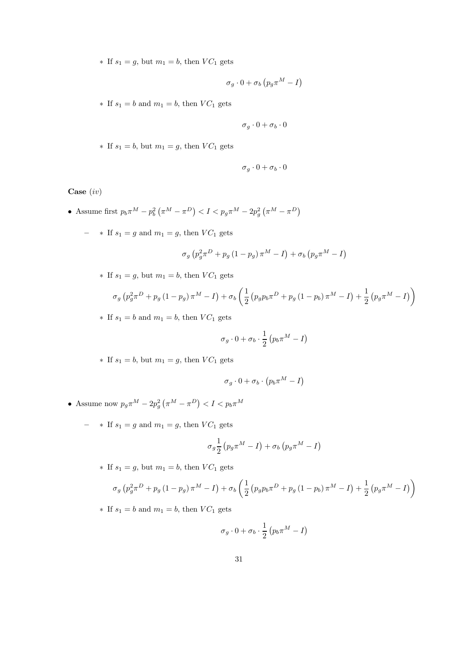∗ If  $s_1 = g$ , but  $m_1 = b$ , then  $VC_1$  gets

$$
\sigma_g \cdot 0 + \sigma_b \left( p_g \pi^M - I \right)
$$

 $*$  If  $s_1 = b$  and  $m_1 = b$ , then  $VC_1$  gets

$$
\sigma_g \cdot 0 + \sigma_b \cdot 0
$$

∗ If  $s_1 = b$ , but  $m_1 = g$ , then  $VC_1$  gets

$$
\sigma_g\cdot 0+\sigma_b\cdot 0
$$

Case (iv)

- Assume first  $p_b \pi^M p_b^2 (\pi^M \pi^D) < I < p_g \pi^M 2p_g^2 (\pi^M \pi^D)$ 
	- ∗ If  $s_1 = g$  and  $m_1 = g$ , then  $VC_1$  gets

$$
\sigma_g \left( p_g^2 \pi^D + p_g \left( 1 - p_g \right) \pi^M - I \right) + \sigma_b \left( p_g \pi^M - I \right)
$$

∗ If  $s_1 = g$ , but  $m_1 = b$ , then  $VC_1$  gets

$$
\sigma_g \left( p_g^2 \pi^D + p_g \left( 1 - p_g \right) \pi^M - I \right) + \sigma_b \left( \frac{1}{2} \left( p_g p_b \pi^D + p_g \left( 1 - p_b \right) \pi^M - I \right) + \frac{1}{2} \left( p_g \pi^M - I \right) \right)
$$

 $*$  If  $s_1 = b$  and  $m_1 = b$ , then  $VC_1$  gets

$$
\sigma_g \cdot 0 + \sigma_b \cdot \frac{1}{2} \left( p_b \pi^M - I \right)
$$

∗ If  $s_1 = b$ , but  $m_1 = g$ , then  $VC_1$  gets

$$
\sigma_g \cdot 0 + \sigma_b \cdot \left(p_b \pi^M - I \right)
$$

- Assume now  $p_g \pi^M 2p_g^2 \left( \pi^M \pi^D \right) < I < p_b \pi^M$ 
	- ∗ If  $s_1 = g$  and  $m_1 = g$ , then  $VC_1$  gets

$$
\sigma_g \frac{1}{2} \left( p_g \pi^M - I \right) + \sigma_b \left( p_g \pi^M - I \right)
$$

∗ If  $s_1 = g$ , but  $m_1 = b$ , then  $VC_1$  gets

$$
\sigma_g \left( p_g^2 \pi^D + p_g \left( 1 - p_g \right) \pi^M - I \right) + \sigma_b \left( \frac{1}{2} \left( p_g p_b \pi^D + p_g \left( 1 - p_b \right) \pi^M - I \right) + \frac{1}{2} \left( p_g \pi^M - I \right) \right)
$$

∗ If  $s_1 = b$  and  $m_1 = b$ , then  $VC_1$  gets

$$
\sigma_g \cdot 0 + \sigma_b \cdot \frac{1}{2} \left( p_b \pi^M - I \right)
$$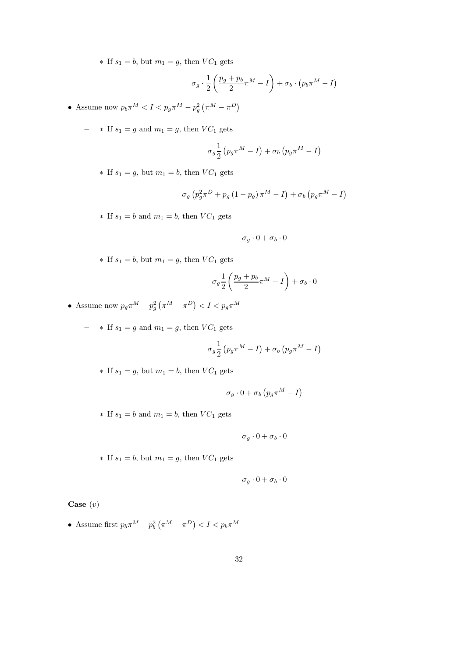∗ If  $s_1 = b$ , but  $m_1 = g$ , then  $VC_1$  gets

$$
\sigma_g \cdot \frac{1}{2} \left( \frac{p_g + p_b}{2} \pi^M - I \right) + \sigma_b \cdot (p_b \pi^M - I)
$$

- Assume now  $p_b \pi^M < I < p_g \pi^M p_g^2 \left( \pi^M \pi^D \right)$ 
	- ∗ If  $s_1 = g$  and  $m_1 = g$ , then  $VC_1$  gets

$$
\sigma_g \frac{1}{2} \left( p_g \pi^M - I \right) + \sigma_b \left( p_g \pi^M - I \right)
$$

∗ If  $s_1 = g$ , but  $m_1 = b$ , then  $VC_1$  gets

$$
\sigma_g \left( p_g^2 \pi^D + p_g \left( 1 - p_g \right) \pi^M - I \right) + \sigma_b \left( p_g \pi^M - I \right)
$$

∗ If  $s_1 = b$  and  $m_1 = b$ , then  $VC_1$  gets

$$
\sigma_g\cdot 0+\sigma_b\cdot 0
$$

∗ If  $s_1 = b$ , but  $m_1 = g$ , then  $VC_1$  gets

$$
\sigma_g \frac{1}{2} \left( \frac{p_g + p_b}{2} \pi^M - I \right) + \sigma_b \cdot 0
$$

- Assume now  $p_g \pi^M p_g^2 \left( \pi^M \pi^D \right) < I < p_g \pi^M$ 
	- ∗ If  $s_1 = g$  and  $m_1 = g$ , then  $VC_1$  gets

$$
\sigma_g \frac{1}{2} \left( p_g \pi^M - I \right) + \sigma_b \left( p_g \pi^M - I \right)
$$

∗ If  $s_1 = g$ , but  $m_1 = b$ , then  $VC_1$  gets

$$
\sigma_g \cdot 0 + \sigma_b \left( p_g \pi^M - I \right)
$$

 $*$  If  $s_1 = b$  and  $m_1 = b$ , then  $VC_1$  gets

$$
\sigma_g \cdot 0 + \sigma_b \cdot 0
$$

∗ If  $s_1 = b$ , but  $m_1 = g$ , then  $VC_1$  gets

$$
\sigma_g \cdot 0 + \sigma_b \cdot 0
$$

Case  $(v)$ 

• Assume first  $p_b \pi^M - p_b^2 \left( \pi^M - \pi^D \right) < I < p_b \pi^M$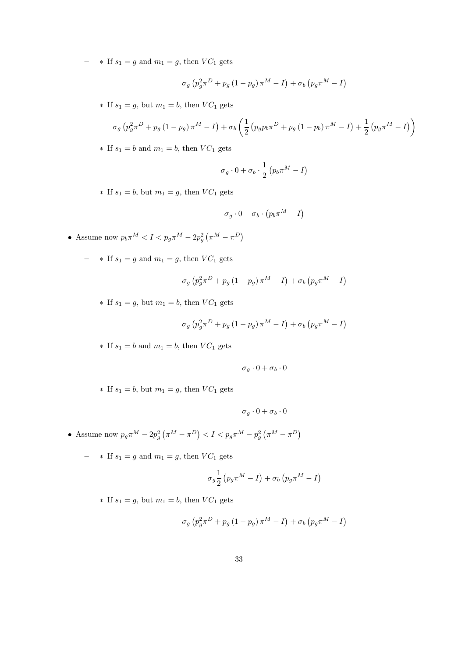– ∗ If  $s_1 = g$  and  $m_1 = g$ , then  $VC_1$  gets

$$
\sigma_g \left( p_g^2 \pi^D + p_g \left( 1 - p_g \right) \pi^M - I \right) + \sigma_b \left( p_g \pi^M - I \right)
$$

∗ If  $s_1 = g$ , but  $m_1 = b$ , then  $VC_1$  gets

$$
\sigma_g \left( p_g^2 \pi^D + p_g \left( 1 - p_g \right) \pi^M - I \right) + \sigma_b \left( \frac{1}{2} \left( p_g p_b \pi^D + p_g \left( 1 - p_b \right) \pi^M - I \right) + \frac{1}{2} \left( p_g \pi^M - I \right) \right)
$$

∗ If  $s_1 = b$  and  $m_1 = b$ , then  $VC_1$  gets

$$
\sigma_g \cdot 0 + \sigma_b \cdot \frac{1}{2} \left( p_b \pi^M - I \right)
$$

∗ If  $s_1 = b$ , but  $m_1 = g$ , then  $VC_1$  gets

$$
\sigma_g \cdot 0 + \sigma_b \cdot \left(p_b \pi^M - I\right)
$$

- Assume now  $p_b \pi^M < I < p_g \pi^M 2p_g^2 \left( \pi^M \pi^D \right)$ 
	- ∗ If  $s_1 = g$  and  $m_1 = g$ , then  $VC_1$  gets

$$
\sigma_g \left( p_g^2 \pi^D + p_g \left( 1 - p_g \right) \pi^M - I \right) + \sigma_b \left( p_g \pi^M - I \right)
$$

∗ If  $s_1 = g$ , but  $m_1 = b$ , then  $VC_1$  gets

$$
\sigma_g \left( p_g^2 \pi^D + p_g \left( 1 - p_g \right) \pi^M - I \right) + \sigma_b \left( p_g \pi^M - I \right)
$$

 $*$  If  $s_1 = b$  and  $m_1 = b$ , then  $VC_1$  gets

$$
\sigma_g\cdot 0+\sigma_b\cdot 0
$$

∗ If  $s_1 = b$ , but  $m_1 = g$ , then  $VC_1$  gets

$$
\sigma_g\cdot 0+\sigma_b\cdot 0
$$

- Assume now  $p_g \pi^M 2p_g^2 (\pi^M \pi^D) < I < p_g \pi^M p_g^2 (\pi^M \pi^D)$ 
	- $-$  ∗ If  $s_1 = g$  and  $m_1 = g$ , then  $VC_1$  gets

$$
\sigma_g \frac{1}{2} \left( p_g \pi^M - I \right) + \sigma_b \left( p_g \pi^M - I \right)
$$

∗ If  $s_1 = g$ , but  $m_1 = b$ , then  $VC_1$  gets

$$
\sigma_g \left( p_g^2 \pi^D + p_g \left( 1 - p_g \right) \pi^M - I \right) + \sigma_b \left( p_g \pi^M - I \right)
$$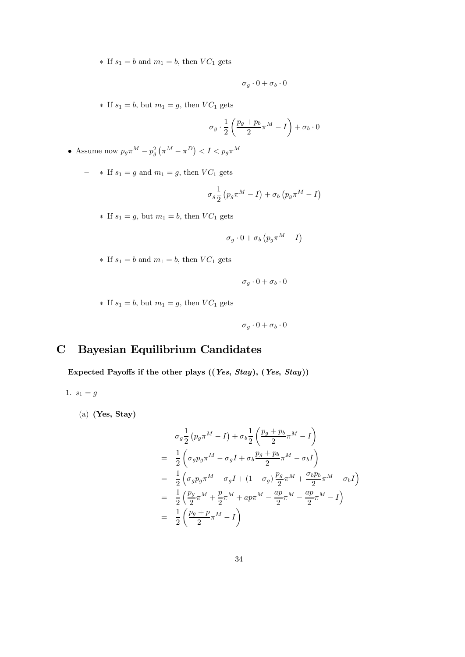∗ If  $s_1 = b$  and  $m_1 = b$ , then  $VC_1$  gets

$$
\sigma_g\cdot 0+\sigma_b\cdot 0
$$

∗ If  $s_1 = b$ , but  $m_1 = g$ , then  $VC_1$  gets

$$
\sigma_g \cdot \frac{1}{2} \left( \frac{p_g + p_b}{2} \pi^M - I \right) + \sigma_b \cdot 0
$$

• Assume now  $p_g \pi^M - p_g^2 \left( \pi^M - \pi^D \right) < I < p_g \pi^M$ 

– ∗ If  $s_1 = g$  and  $m_1 = g$ , then  $VC_1$  gets

$$
\sigma_g \frac{1}{2} \left( p_g \pi^M - I \right) + \sigma_b \left( p_g \pi^M - I \right)
$$

∗ If  $s_1 = g$ , but  $m_1 = b$ , then  $VC_1$  gets

$$
\sigma_g \cdot 0 + \sigma_b \left( p_g \pi^M - I \right)
$$

 $*$  If  $s_1 = b$  and  $m_1 = b$ , then  $VC_1$  gets

$$
\sigma_g \cdot 0 + \sigma_b \cdot 0
$$

∗ If  $s_1 = b$ , but  $m_1 = g$ , then  $VC_1$  gets

 $\sigma_q \cdot 0 + \sigma_b \cdot 0$ 

# C Bayesian Equilibrium Candidates

Expected Payoffs if the other plays ((Yes, Stay), (Yes, Stay))

$$
1. \, s_1 = g
$$

(a) (Yes, Stay)

$$
\sigma_g \frac{1}{2} (p_g \pi^M - I) + \sigma_b \frac{1}{2} \left( \frac{p_g + p_b}{2} \pi^M - I \right)
$$
  
=  $\frac{1}{2} \left( \sigma_g p_g \pi^M - \sigma_g I + \sigma_b \frac{p_g + p_b}{2} \pi^M - \sigma_b I \right)$   
=  $\frac{1}{2} \left( \sigma_g p_g \pi^M - \sigma_g I + (1 - \sigma_g) \frac{p_g}{2} \pi^M + \frac{\sigma_b p_b}{2} \pi^M - \sigma_b I \right)$   
=  $\frac{1}{2} \left( \frac{p_g}{2} \pi^M + \frac{p}{2} \pi^M + ap \pi^M - \frac{ap}{2} \pi^M - \frac{ap}{2} \pi^M - I \right)$   
=  $\frac{1}{2} \left( \frac{p_g + p}{2} \pi^M - I \right)$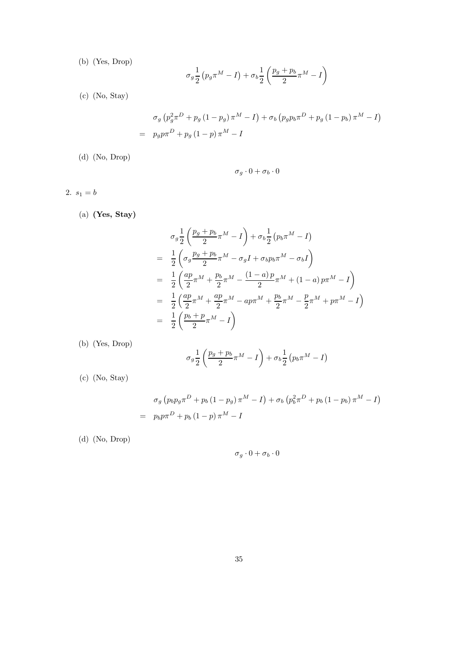(b) (Yes, Drop)

$$
\sigma_g \frac{1}{2} \left( p_g \pi^M - I \right) + \sigma_b \frac{1}{2} \left( \frac{p_g + p_b}{2} \pi^M - I \right)
$$

(c) (No, Stay)

$$
\sigma_g \left( p_g^2 \pi^D + p_g \left( 1 - p_g \right) \pi^M - I \right) + \sigma_b \left( p_g p_b \pi^D + p_g \left( 1 - p_b \right) \pi^M - I \right) = p_g p \pi^D + p_g \left( 1 - p \right) \pi^M - I
$$

(d) (No, Drop)

$$
\sigma_g \cdot 0 + \sigma_b \cdot 0
$$

2.  $s_1 = b$ 

(a) (Yes, Stay)

$$
\sigma_g \frac{1}{2} \left( \frac{p_g + p_b}{2} \pi^M - I \right) + \sigma_b \frac{1}{2} (p_b \pi^M - I)
$$
  
= 
$$
\frac{1}{2} \left( \sigma_g \frac{p_g + p_b}{2} \pi^M - \sigma_g I + \sigma_b p_b \pi^M - \sigma_b I \right)
$$
  
= 
$$
\frac{1}{2} \left( \frac{ap}{2} \pi^M + \frac{p_b}{2} \pi^M - \frac{(1-a)p}{2} \pi^M + (1-a) p \pi^M - I \right)
$$
  
= 
$$
\frac{1}{2} \left( \frac{ap}{2} \pi^M + \frac{ap}{2} \pi^M - ap \pi^M + \frac{p_b}{2} \pi^M - \frac{p}{2} \pi^M + p \pi^M - I \right)
$$
  
= 
$$
\frac{1}{2} \left( \frac{p_b + p}{2} \pi^M - I \right)
$$

(b) (Yes, Drop)

$$
\sigma_g \frac{1}{2} \left( \frac{p_g + p_b}{2} \pi^M - I \right) + \sigma_b \frac{1}{2} \left( p_b \pi^M - I \right)
$$

(c) (No, Stay)

$$
\sigma_g \left( p_b p_g \pi^D + p_b \left( 1 - p_g \right) \pi^M - I \right) + \sigma_b \left( p_b^2 \pi^D + p_b \left( 1 - p_b \right) \pi^M - I \right) = p_b p \pi^D + p_b \left( 1 - p \right) \pi^M - I
$$

(d) (No, Drop)

$$
\sigma_g\cdot 0+\sigma_b\cdot 0
$$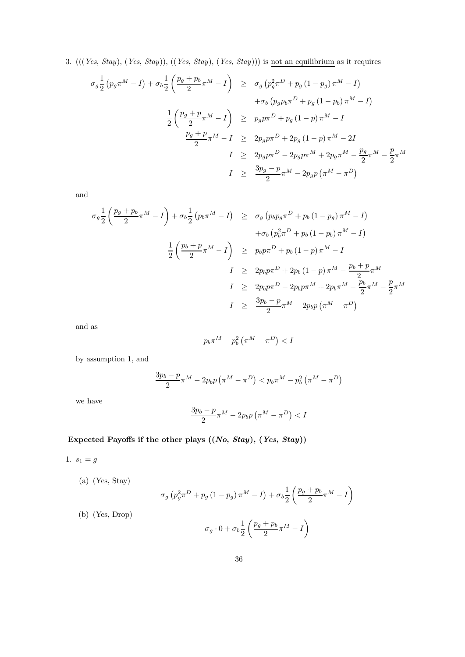3.  $(((Yes, Stay), (Yes, Stay)), ((Yes, Stay), (Yes, Stay)))$  is not an equilibrium as it requires

$$
\sigma_g \frac{1}{2} (p_g \pi^M - I) + \sigma_b \frac{1}{2} \left( \frac{p_g + p_b}{2} \pi^M - I \right) \ge \sigma_g (p_g^2 \pi^D + p_g (1 - p_g) \pi^M - I) \n+ \sigma_b (p_g p_b \pi^D + p_g (1 - p_b) \pi^M - I) \n\frac{1}{2} \left( \frac{p_g + p}{2} \pi^M - I \right) \ge p_g p \pi^D + p_g (1 - p) \pi^M - I \n\frac{p_g + p}{2} \pi^M - I \ge 2p_g p \pi^D + 2p_g (1 - p) \pi^M - 2I \nI \ge 2p_g p \pi^D - 2p_g p \pi^M + 2p_g \pi^M - \frac{p_g}{2} \pi^M - \frac{p}{2} \pi^M \nI \ge \frac{3p_g - p}{2} \pi^M - 2p_g p (\pi^M - \pi^D)
$$

and

$$
\sigma_g \frac{1}{2} \left( \frac{p_g + p_b}{2} \pi^M - I \right) + \sigma_b \frac{1}{2} \left( p_b \pi^M - I \right) \ge \sigma_g \left( p_b p_g \pi^D + p_b \left( 1 - p_g \right) \pi^M - I \right) \n+ \sigma_b \left( p_b^2 \pi^D + p_b \left( 1 - p_b \right) \pi^M - I \right) \n\frac{1}{2} \left( \frac{p_b + p}{2} \pi^M - I \right) \ge p_b p \pi^D + p_b \left( 1 - p \right) \pi^M - I \nI \ge 2p_b p \pi^D + 2p_b \left( 1 - p \right) \pi^M - \frac{p_b + p}{2} \pi^M \nI \ge 2p_b p \pi^D - 2p_b p \pi^M + 2p_b \pi^M - \frac{p_b}{2} \pi^M - \frac{p}{2} \pi^M \nI \ge \frac{3p_b - p}{2} \pi^M - 2p_b p \left( \pi^M - \pi^D \right)
$$

and as

$$
p_b\pi^M-p_b^2\left(\pi^M-\pi^D\right)
$$

by assumption 1, and

$$
\frac{3p_b - p}{2} \pi^M - 2p_b p \left( \pi^M - \pi^D \right) < p_b \pi^M - p_b^2 \left( \pi^M - \pi^D \right)
$$

we have

$$
\frac{3p_b-p}{2}\pi^M - 2p_b p\left(\pi^M - \pi^D\right) < I
$$

Expected Payoffs if the other plays  $((No, Stay), (Yes, Stay))$ 

1.  $s_1 = g$ 

(a) (Yes, Stay)

(b) (Yes, Drop)

$$
\sigma_g \left( p_g^2 \pi^D + p_g \left( 1 - p_g \right) \pi^M - I \right) + \sigma_b \frac{1}{2} \left( \frac{p_g + p_b}{2} \pi^M - I \right)
$$
  

$$
\sigma_g \cdot 0 + \sigma_b \frac{1}{2} \left( \frac{p_g + p_b}{2} \pi^M - I \right)
$$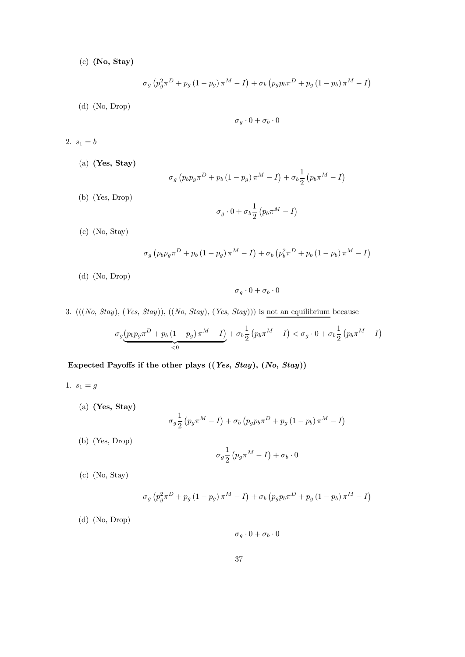(c) (No, Stay)

$$
\sigma_g \left( p_g^2 \pi^D + p_g \left( 1 - p_g \right) \pi^M - I \right) + \sigma_b \left( p_g p_b \pi^D + p_g \left( 1 - p_b \right) \pi^M - I \right)
$$

(d) (No, Drop)

$$
\sigma_g\cdot 0+\sigma_b\cdot 0
$$

2.  $s_1=b$ 

(a) (Yes, Stay)

$$
\sigma_g \left( p_b p_g \pi^D + p_b \left( 1 - p_g \right) \pi^M - I \right) + \sigma_b \frac{1}{2} \left( p_b \pi^M - I \right)
$$

(b) (Yes, Drop)

$$
\sigma_g \cdot 0 + \sigma_b \frac{1}{2} \left( p_b \pi^M - I \right)
$$

(c) (No, Stay)

$$
\sigma_g \left( p_b p_g \pi^D + p_b \left( 1 - p_g \right) \pi^M - I \right) + \sigma_b \left( p_b^2 \pi^D + p_b \left( 1 - p_b \right) \pi^M - I \right)
$$

(d) (No, Drop)

$$
\sigma_g \cdot 0 + \sigma_b \cdot 0
$$

3.  $(((No, Stay), (Yes, Stay)), ((No, Stay), (Yes, Stay)))$  is not an equilibrium because

$$
\sigma_g \underbrace{\left(p_b p_g \pi^D + p_b \left(1 - p_g\right) \pi^M - I\right)}_{< 0} + \sigma_b \frac{1}{2} \left(p_b \pi^M - I\right) < \sigma_g \cdot 0 + \sigma_b \frac{1}{2} \left(p_b \pi^M - I\right)
$$

Expected Payoffs if the other plays ((Yes, Stay), (No, Stay))

- 1.  $s_1 = g$ 
	- (a) (Yes, Stay)

$$
\sigma_g \frac{1}{2} \left( p_g \pi^M - I \right) + \sigma_b \left( p_g p_b \pi^D + p_g \left( 1 - p_b \right) \pi^M - I \right)
$$

(b) (Yes, Drop)

$$
\sigma_g \frac{1}{2} \left( p_g \pi^M - I \right) + \sigma_b \cdot 0
$$

(c) (No, Stay)

$$
\sigma_g \left( p_g^2 \pi^D + p_g \left( 1 - p_g \right) \pi^M - I \right) + \sigma_b \left( p_g p_b \pi^D + p_g \left( 1 - p_b \right) \pi^M - I \right)
$$

(d) (No, Drop)

$$
\sigma_g \cdot 0 + \sigma_b \cdot 0
$$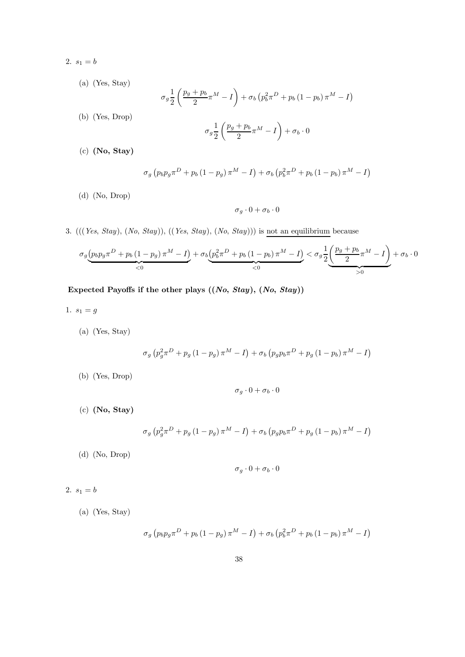- 2.  $s_1 = b$ 
	- (a) (Yes, Stay)

$$
\sigma_g \frac{1}{2} \left( \frac{p_g + p_b}{2} \pi^M - I \right) + \sigma_b \left( p_b^2 \pi^D + p_b \left( 1 - p_b \right) \pi^M - I \right)
$$

(b) (Yes, Drop)

$$
\sigma_g \frac{1}{2} \left( \frac{p_g + p_b}{2} \pi^M - I \right) + \sigma_b \cdot 0
$$

(c) (No, Stay)

$$
\sigma_g \left( p_b p_g \pi^D + p_b \left( 1 - p_g \right) \pi^M - I \right) + \sigma_b \left( p_b^2 \pi^D + p_b \left( 1 - p_b \right) \pi^M - I \right)
$$

(d) (No, Drop)

$$
\sigma_g\cdot 0+\sigma_b\cdot 0
$$

3.  $(((Yes, Stay), (No, Stay)), ((Yes, Stay), (No, Stay)))$  is not an equilibrium because

$$
\sigma_g \underbrace{\left(p_bp_\mathrm{F}\pi^D+p_b\left(1-p_g\right)\pi^M-I\right)}_{<0}+\sigma_b\underbrace{\left(p_b^2\pi^D+p_b\left(1-p_b\right)\pi^M-I\right)}_{<0}<\sigma_g\underbrace{\frac{1}{2}\underbrace{\left(\frac{p_g+p_b}{2}\pi^M-I\right)}_{>0}+\sigma_b\cdot0}^{<0}
$$

Expected Payoffs if the other plays  $((No, Stay), (No, Stay))$ 

- 1.  $s_1 = g$ 
	- (a) (Yes, Stay)

$$
\sigma_g \left( p_g^2 \pi^D + p_g \left( 1 - p_g \right) \pi^M - I \right) + \sigma_b \left( p_g p_b \pi^D + p_g \left( 1 - p_b \right) \pi^M - I \right)
$$

(b) (Yes, Drop)

$$
\sigma_g\cdot 0+\sigma_b\cdot 0
$$

(c) (No, Stay)

$$
\sigma_{g} \left( p_{g}^{2} \pi^{D} + p_{g} \left( 1 - p_{g} \right) \pi^{M} - I \right) + \sigma_{b} \left( p_{g} p_{b} \pi^{D} + p_{g} \left( 1 - p_{b} \right) \pi^{M} - I \right)
$$

(d) (No, Drop)

$$
\sigma_g\cdot 0+\sigma_b\cdot 0
$$

2.  $s_1 = b$ 

(a) (Yes, Stay)

$$
\sigma_g \left( p_b p_g \pi^D + p_b \left( 1 - p_g \right) \pi^M - I \right) + \sigma_b \left( p_b^2 \pi^D + p_b \left( 1 - p_b \right) \pi^M - I \right)
$$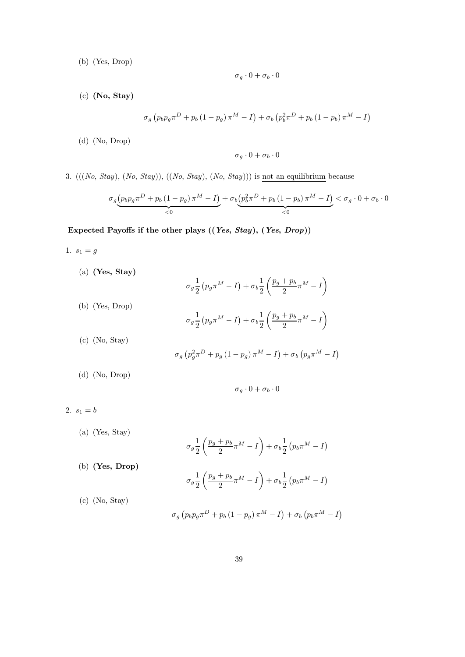(b) (Yes, Drop)

$$
\sigma_g\cdot 0+\sigma_b\cdot 0
$$

(c) (No, Stay)

$$
\sigma_g \left( p_b p_g \pi^D + p_b \left( 1 - p_g \right) \pi^M - I \right) + \sigma_b \left( p_b^2 \pi^D + p_b \left( 1 - p_b \right) \pi^M - I \right)
$$

(d) (No, Drop)

$$
\sigma_g \cdot 0 + \sigma_b \cdot 0
$$

3.  $(((No, Stay), (No, Stay)), ((No, Stay), (No, Stay)))$  is not an equilibrium because

$$
\sigma_g \underbrace{\left(p_b p_g \pi^D + p_b \left(1 - p_g\right) \pi^M - I\right)}_{< 0} + \sigma_b \underbrace{\left(p_b^2 \pi^D + p_b \left(1 - p_b\right) \pi^M - I\right)}_{< 0} < \sigma_g \cdot 0 + \sigma_b \cdot 0
$$

Expected Payoffs if the other plays ((Yes, Stay), (Yes, Drop))

- 1.  $s_1 = g$ 
	- (a) (Yes, Stay)

$$
\sigma_g \frac{1}{2} \left( p_g \pi^M - I \right) + \sigma_b \frac{1}{2} \left( \frac{p_g + p_b}{2} \pi^M - I \right)
$$
\n(b) (Yes, Drop)\n
$$
\sigma_g \frac{1}{2} \left( p_g \pi^M - I \right) + \sigma_b \frac{1}{2} \left( \frac{p_g + p_b}{2} \pi^M - I \right)
$$
\n(c) (No, Stay)\n
$$
\sigma_g \left( p_g^2 \pi^D + p_g \left( 1 - p_g \right) \pi^M - I \right) + \sigma_b \left( p_g \pi^M - I \right)
$$

(d) (No, Drop)

$$
\sigma_g \cdot 0 + \sigma_b \cdot 0
$$

2.  $s_1 = b$ 

(a) (Yes, Stay)  
\n
$$
\sigma_g \frac{1}{2} \left( \frac{p_g + p_b}{2} \pi^M - I \right) + \sigma_b \frac{1}{2} \left( p_b \pi^M - I \right)
$$
\n(b) **(Yes, Drop)**  
\n
$$
\sigma_g \frac{1}{2} \left( \frac{p_g + p_b}{2} \pi^M - I \right) + \sigma_b \frac{1}{2} \left( p_b \pi^M - I \right)
$$
\n(c) (No, Stay)  
\n
$$
\sigma_g \left( p_b p_g \pi^D + p_b \left( 1 - p_g \right) \pi^M - I \right) + \sigma_b \left( p_b \pi^M - I \right)
$$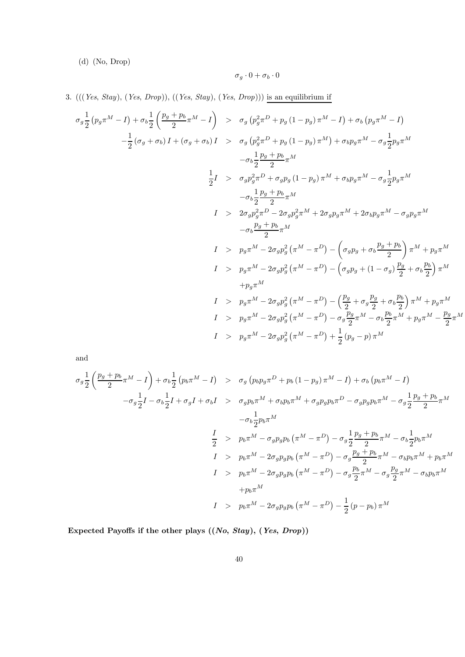(d) (No, Drop)

$$
\sigma_g \cdot 0 + \sigma_b \cdot 0
$$

3.  $(((Yes, Stay), (Yes, Drop)), ((Yes, Stay), (Yes, Drop)))$  is an equilibrium if

$$
\sigma_g \frac{1}{2} (p_g \pi^M - I) + \sigma_b \frac{1}{2} \left( \frac{p_g + p_b}{2} \pi^M - I \right) > \sigma_g (p_g^2 \pi^D + p_g (1 - p_g) \pi^M - I) + \sigma_b (p_g \pi^M - I)
$$
  
\n
$$
- \frac{1}{2} (\sigma_g + \sigma_b) I + (\sigma_g + \sigma_b) I > \sigma_g (p_g^2 \pi^D + p_g (1 - p_g) \pi^M) + \sigma_b p_g \pi^M - \sigma_g \frac{1}{2} p_g \pi^M
$$
  
\n
$$
- \sigma_b \frac{1}{2} \frac{p_g + p_b}{2} \pi^M
$$
  
\n
$$
\frac{1}{2} I > \sigma_g p_g^2 \pi^D + \sigma_g p_g (1 - p_g) \pi^M + \sigma_b p_g \pi^M - \sigma_g \frac{1}{2} p_g \pi^M
$$
  
\n
$$
- \sigma_b \frac{1}{2} \frac{p_g + p_b}{2} \pi^M
$$
  
\n
$$
I > 2 \sigma_g p_g^2 \pi^D - 2 \sigma_g p_g^2 \pi^M + 2 \sigma_g p_g \pi^M + 2 \sigma_b p_g \pi^M - \sigma_g p_g \pi^M
$$
  
\n
$$
- \sigma_b \frac{p_g + p_b}{2} \pi^M
$$
  
\n
$$
I > p_g \pi^M - 2 \sigma_g p_g^2 (\pi^M - \pi^D) - \left( \sigma_g p_g + \sigma_b \frac{p_g + p_b}{2} \right) \pi^M + p_g \pi^M
$$
  
\n
$$
+ p_g \pi^M
$$
  
\n
$$
I > p_g \pi^M - 2 \sigma_g p_g^2 (\pi^M - \pi^D) - \left( \frac{p_g}{2} + \sigma_g \frac{p_g}{2} + \sigma_b \frac{p_b}{2} \right) \pi^M + p_g \pi^M
$$
  
\n
$$
I > p_g \pi^M - 2 \sigma_g p_g^2 (\pi^M - \pi^D) - \sigma_g \frac{p_g}{2} \pi^M - \sigma_b \frac{p_b}{2} \pi^M + p_g \pi^M - \frac{p_g}{2} \pi^M
$$
  
\n
$$
I > p_g \pi^M - 2 \sigma_g p_g^2 (\pi^M - \
$$

and

$$
\sigma_g \frac{1}{2} \left( \frac{p_g + p_b}{2} \pi^M - I \right) + \sigma_b \frac{1}{2} (p_b \pi^M - I) > \sigma_g (p_b p_g \pi^D + p_b (1 - p_g) \pi^M - I) + \sigma_b (p_b \pi^M - I)
$$
  
\n
$$
- \sigma_g \frac{1}{2} I - \sigma_b \frac{1}{2} I + \sigma_g I + \sigma_b I > \sigma_g p_b \pi^M + \sigma_b p_b \pi^M + \sigma_g p_g p_b \pi^D - \sigma_g p_g p_b \pi^M - \sigma_g \frac{1}{2} \frac{p_g + p_b}{2} \pi^M
$$
  
\n
$$
- \sigma_b \frac{1}{2} p_b \pi^M
$$
  
\n
$$
\frac{I}{2} > p_b \pi^M - \sigma_g p_g p_b (\pi^M - \pi^D) - \sigma_g \frac{1}{2} \frac{p_g + p_b}{2} \pi^M - \sigma_b \frac{1}{2} p_b \pi^M
$$
  
\n
$$
I > p_b \pi^M - 2 \sigma_g p_g p_b (\pi^M - \pi^D) - \sigma_g \frac{p_g + p_b}{2} \pi^M - \sigma_b p_b \pi^M + p_b \pi^M
$$
  
\n
$$
+ p_b \pi^M
$$
  
\n
$$
I > p_b \pi^M - 2 \sigma_g p_g p_b (\pi^M - \pi^D) - \sigma_g \frac{p_b}{2} \pi^M - \sigma_g \frac{p_g}{2} \pi^M - \sigma_b p_b \pi^M
$$
  
\n
$$
+ p_b \pi^M
$$
  
\n
$$
I > p_b \pi^M - 2 \sigma_g p_g p_b (\pi^M - \pi^D) - \frac{1}{2} (p - p_b) \pi^M
$$

Expected Payoffs if the other plays  $((No, Stay), (Yes, Drop))$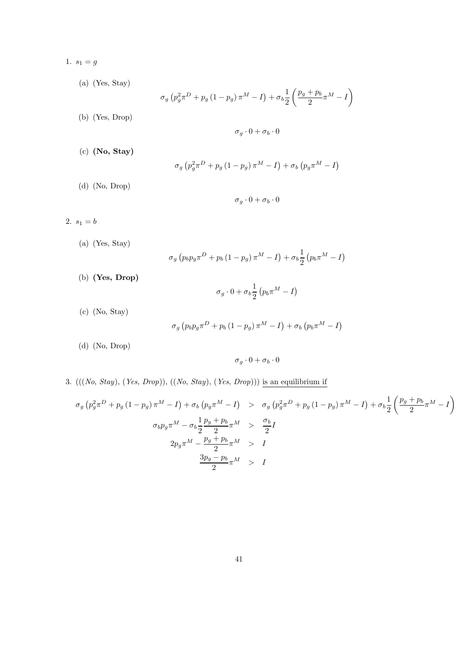- 1.  $s_1 = g$
- (a) (Yes, Stay)  $\sigma_g \left( p_g^2 \pi^D + p_g \left( 1 - p_g \right) \pi^M - I \right) + \sigma_b \frac{1}{2}$ 2  $\left(\frac{p_g+p_b}{2}\pi^M-I\right)$ (b) (Yes, Drop)  $\sigma_q \cdot 0 + \sigma_b \cdot 0$ (c) (No, Stay)  $\sigma_{g} \left( p_{g}^{2} \pi^{D} + p_{g} \left( 1 - p_{g} \right) \pi^{M} - I \right) + \sigma_{b} \left( p_{g} \pi^{M} - I \right)$ (d) (No, Drop)  $\sigma_q \cdot 0 + \sigma_b \cdot 0$ 2.  $s_1 = b$ 
	- $\sigma_g \left( p_b p_g \pi^D + p_b \left( 1 p_g \right) \pi^M I \right) + \sigma_b \frac{1}{2}$ 2  $\left(p_b \pi^M - I \right)$
	- (b) (Yes, Drop)

(a) (Yes, Stay)

 $\sigma_g \cdot 0 + \sigma_b \frac{1}{2}$ 2  $\left(p_b \pi^M - I\right)$ 

(c) (No, Stay)

$$
\sigma_g \left( p_b p_g \pi^D + p_b \left( 1 - p_g \right) \pi^M - I \right) + \sigma_b \left( p_b \pi^M - I \right)
$$

(d) (No, Drop)

$$
\sigma_g\cdot 0+\sigma_b\cdot 0
$$

3.  $(((No, Stay), (Yes, Drop)), ((No, Stay), (Yes, Drop)))$  is an equilibrium if

$$
\sigma_g \left( p_g^2 \pi^D + p_g \left( 1 - p_g \right) \pi^M - I \right) + \sigma_b \left( p_g \pi^M - I \right) > \sigma_g \left( p_g^2 \pi^D + p_g \left( 1 - p_g \right) \pi^M - I \right) + \sigma_b \frac{1}{2} \left( \frac{p_g + p_b}{2} \pi^M - I \right)
$$
  

$$
\sigma_b p_g \pi^M - \sigma_b \frac{1}{2} \frac{p_g + p_b}{2} \pi^M > \frac{\sigma_b}{2} I
$$
  

$$
\frac{3p_g - p_b}{2} \pi^M > I
$$
  

$$
\frac{3p_g - p_b}{2} \pi^M > I
$$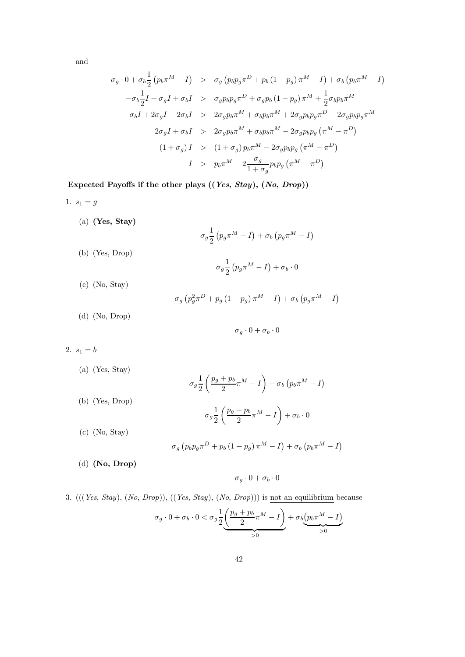and

$$
\sigma_g \cdot 0 + \sigma_b \frac{1}{2} (p_b \pi^M - I) > \sigma_g (p_b p_g \pi^D + p_b (1 - p_g) \pi^M - I) + \sigma_b (p_b \pi^M - I)
$$
  
\n
$$
- \sigma_b \frac{1}{2} I + \sigma_g I + \sigma_b I > \sigma_g p_b p_g \pi^D + \sigma_g p_b (1 - p_g) \pi^M + \frac{1}{2} \sigma_b p_b \pi^M
$$
  
\n
$$
- \sigma_b I + 2 \sigma_g I + 2 \sigma_b I > 2 \sigma_g p_b \pi^M + \sigma_b p_b \pi^M + 2 \sigma_g p_b p_g \pi^D - 2 \sigma_g p_b p_g \pi^M
$$
  
\n
$$
2 \sigma_g I + \sigma_b I > 2 \sigma_g p_b \pi^M + \sigma_b p_b \pi^M - 2 \sigma_g p_b p_g (\pi^M - \pi^D)
$$
  
\n
$$
(1 + \sigma_g) I > (1 + \sigma_g) p_b \pi^M - 2 \sigma_g p_b p_g (\pi^M - \pi^D)
$$
  
\n
$$
I > p_b \pi^M - 2 \frac{\sigma_g}{1 + \sigma_g} p_b p_g (\pi^M - \pi^D)
$$

Expected Payoffs if the other plays ((Yes, Stay), (No, Drop))

- 1.  $s_1 = g$ (a) (Yes, Stay)  $\sigma_g \frac{1}{2}$ 2  $\left(p_g \pi^M - I\right) + \sigma_b \left(p_g \pi^M - I\right)$ (b) (Yes, Drop)  $\sigma_g \frac{1}{2}$ 2  $\left(p_g \pi^M - I\right) + \sigma_b \cdot 0$ 
	- (c) (No, Stay)

$$
\sigma_g \left( p_g^2 \pi^D + p_g \left( 1 - p_g \right) \pi^M - I \right) + \sigma_b \left( p_g \pi^M - I \right)
$$

(d) (No, Drop)

$$
\sigma_g\cdot 0+\sigma_b\cdot 0
$$

2.  $s_1 = b$ 

(a) (Yes, Stay)

$$
\sigma_g \frac{1}{2} \left( \frac{p_g + p_b}{2} \pi^M - I \right) + \sigma_b \left( p_b \pi^M - I \right)
$$
\n(b) (Yes, Drop)

\n
$$
\sigma_g \frac{1}{2} \left( \frac{p_g + p_b}{2} \pi^M - I \right) + \sigma_b \cdot 0
$$
\n(c) (No, Stay)

\n
$$
\left( \frac{p_b}{2} \pi^M - I \right) + \sigma_b \cdot 0
$$

$$
\sigma_g \left( p_b p_g \pi^D + p_b \left( 1 - p_g \right) \pi^M - I \right) + \sigma_b \left( p_b \pi^M - I \right)
$$

(d) (No, Drop)

 $\sigma_g \cdot 0 + \sigma_b \cdot 0$ 

### 3. (((Yes, Stay), (No, Drop)), ((Yes, Stay), (No, Drop))) is not an equilibrium because

$$
\sigma_g \cdot 0 + \sigma_b \cdot 0 < \sigma_g \frac{1}{2} \underbrace{\left(\frac{p_g + p_b}{2}\pi^M - I\right)}_{>0} + \sigma_b \underbrace{\left(p_b \pi^M - I\right)}_{>0}
$$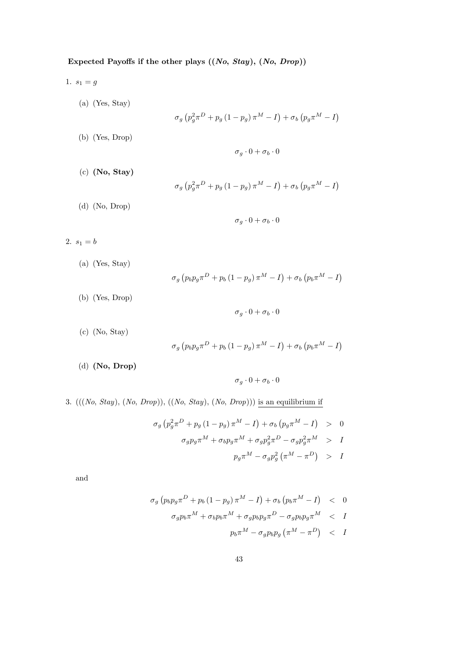### Expected Payoffs if the other plays  $((No, Stay), (No, Drop))$

- (a) (Yes, Stay)  $\sigma_g \left( p_g^2 \pi^D + p_g \left( 1 - p_g \right) \pi^M - I \right) + \sigma_b \left( p_g \pi^M - I \right)$ (b) (Yes, Drop)  $\sigma_q \cdot 0 + \sigma_b \cdot 0$ (c) (No, Stay)  $\sigma_{g} \left( p_{g}^{2} \pi^{D} + p_{g} \left( 1 - p_{g} \right) \pi^{M} - I \right) + \sigma_{b} \left( p_{g} \pi^{M} - I \right)$ (d) (No, Drop)  $\sigma_a \cdot 0 + \sigma_b \cdot 0$ 2.  $s_1=b$ 
	- (a) (Yes, Stay)  $\sigma_g \left( p_b p_g \pi^D + p_b \left( 1 - p_g \right) \pi^M - I \right) + \sigma_b \left( p_b \pi^M - I \right)$
	- (b) (Yes, Drop)

1.  $s_1 = g$ 

 $\sigma_q \cdot 0 + \sigma_b \cdot 0$ 

(c) (No, Stay)

$$
\sigma_g \left( p_b p_g \pi^D + p_b \left( 1 - p_g \right) \pi^M - I \right) + \sigma_b \left( p_b \pi^M - I \right)
$$

(d) (No, Drop)

 $\sigma_a \cdot 0 + \sigma_b \cdot 0$ 

3.  $(((No, Stay), (No, Drop)), ((No, Stay), (No, Drop)))$  is an equilibrium if

$$
\sigma_g \left( p_g^2 \pi^D + p_g \left( 1 - p_g \right) \pi^M - I \right) + \sigma_b \left( p_g \pi^M - I \right) > 0
$$
  

$$
\sigma_g p_g \pi^M + \sigma_b p_g \pi^M + \sigma_g p_g^2 \pi^D - \sigma_g p_g^2 \pi^M > I
$$
  

$$
p_g \pi^M - \sigma_g p_g^2 \left( \pi^M - \pi^D \right) > I
$$

and

$$
\sigma_g \left( p_b p_g \pi^D + p_b \left( 1 - p_g \right) \pi^M - I \right) + \sigma_b \left( p_b \pi^M - I \right) < 0
$$
\n
$$
\sigma_g p_b \pi^M + \sigma_b p_b \pi^M + \sigma_g p_b p_g \pi^D - \sigma_g p_b p_g \pi^M < I
$$
\n
$$
p_b \pi^M - \sigma_g p_b p_g \left( \pi^M - \pi^D \right) < I
$$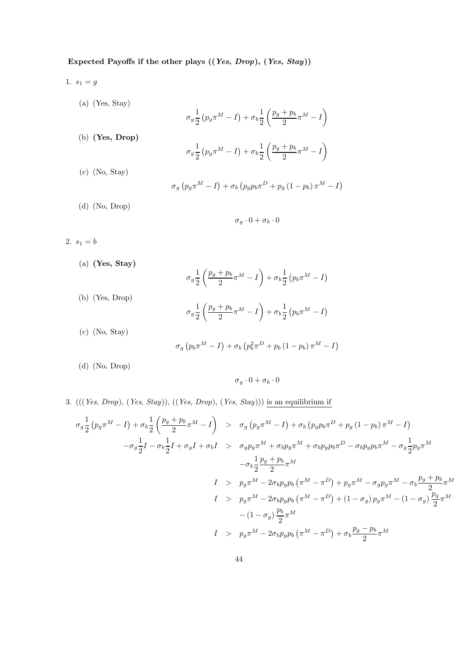## Expected Payoffs if the other plays ((Yes, Drop), (Yes, Stay))

- 1.  $s_1 = g$ 
	- (a) (Yes, Stay)

$$
\sigma_g \frac{1}{2} \left( p_g \pi^M - I \right) + \sigma_b \frac{1}{2} \left( \frac{p_g + p_b}{2} \pi^M - I \right)
$$

- (b) (Yes, Drop)
- $\sigma_g \frac{1}{2}$ 2  $\left(p_g \pi^M - I\right) + \sigma_b \frac{1}{2}$ 2  $\left(\frac{p_g+p_b}{2}\pi^M-I\right)$

$$
\sigma_g \left(p_g \pi^M - I \right) + \sigma_b \left(p_g p_b \pi^D + p_g \left(1-p_b\right) \pi^M - I \right)
$$

(d) (No, Drop)

(c) (No, Stay)

$$
\sigma_g\cdot 0+\sigma_b\cdot 0
$$

- 2.  $s_1=b$ 
	- (a) (Yes, Stay)

$$
\sigma_g \frac{1}{2} \left( \frac{p_g + p_b}{2} \pi^M - I \right) + \sigma_b \frac{1}{2} \left( p_b \pi^M - I \right)
$$
\n(b) (Yes, Drop)

\n
$$
\sigma_g \frac{1}{2} \left( \frac{p_g + p_b}{2} \pi^M - I \right) + \sigma_b \frac{1}{2} \left( p_b \pi^M - I \right)
$$
\n(c) (No, Stay)

$$
\sigma_g \left( p_b \pi^M - I \right) + \sigma_b \left( p_b^2 \pi^D + p_b \left( 1 - p_b \right) \pi^M - I \right)
$$

(d) (No, Drop)

 $\sigma_q \cdot 0 + \sigma_b \cdot 0$ 

3.  $(((Yes, Drop), (Yes, stay)), ((Yes, Drop), (Yes, stay)))$  is an equilibrium if

$$
\sigma_{g} \frac{1}{2} (p_{g} \pi^{M} - I) + \sigma_{b} \frac{1}{2} \left( \frac{p_{g} + p_{b}}{2} \pi^{M} - I \right) > \sigma_{g} (p_{g} \pi^{M} - I) + \sigma_{b} (p_{g} p_{b} \pi^{D} + p_{g} (1 - p_{b}) \pi^{M} - I)
$$
  
\n
$$
- \sigma_{g} \frac{1}{2} I - \sigma_{b} \frac{1}{2} I + \sigma_{g} I + \sigma_{b} I > \sigma_{g} p_{g} \pi^{M} + \sigma_{b} p_{g} \pi^{M} + \sigma_{b} p_{g} p_{b} \pi^{D} - \sigma_{b} p_{g} p_{b} \pi^{M} - \sigma_{g} \frac{1}{2} p_{g} \pi^{M}
$$
  
\n
$$
- \sigma_{b} \frac{1}{2} \frac{p_{g} + p_{b}}{2} \pi^{M}
$$
  
\n
$$
I > p_{g} \pi^{M} - 2 \sigma_{b} p_{g} p_{b} (\pi^{M} - \pi^{D}) + p_{g} \pi^{M} - \sigma_{g} p_{g} \pi^{M} - \sigma_{b} \frac{p_{g} + p_{b}}{2} \pi^{M}
$$
  
\n
$$
I > p_{g} \pi^{M} - 2 \sigma_{b} p_{g} p_{b} (\pi^{M} - \pi^{D}) + (1 - \sigma_{g}) p_{g} \pi^{M} - (1 - \sigma_{g}) \frac{p_{g}}{2} \pi^{M}
$$
  
\n
$$
I > p_{g} \pi^{M} - 2 \sigma_{b} p_{g} p_{b} (\pi^{M} - \pi^{D}) + \sigma_{b} \frac{p_{g} - p_{b}}{2} \pi^{M}
$$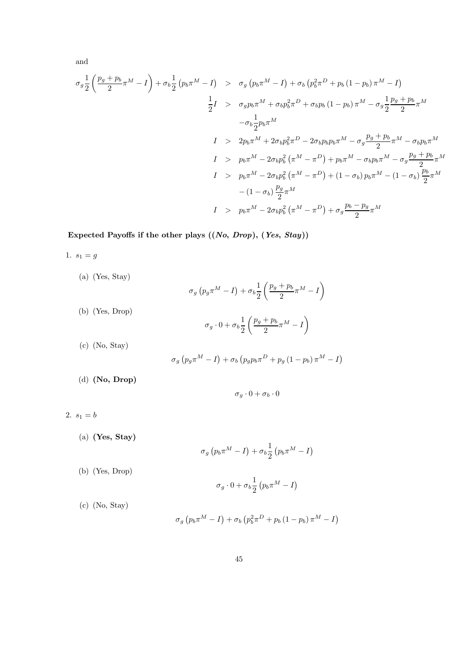and

$$
\sigma_g \frac{1}{2} \left( \frac{p_g + p_b}{2} \pi^M - I \right) + \sigma_b \frac{1}{2} (p_b \pi^M - I) \quad > \quad \sigma_g \left( p_b \pi^M - I \right) + \sigma_b \left( p_b^2 \pi^D + p_b (1 - p_b) \pi^M - I \right)
$$
\n
$$
\frac{1}{2} I \quad > \quad \sigma_g p_b \pi^M + \sigma_b p_b^2 \pi^D + \sigma_b p_b (1 - p_b) \pi^M - \sigma_g \frac{1}{2} \frac{p_g + p_b}{2} \pi^M
$$
\n
$$
- \sigma_b \frac{1}{2} p_b \pi^M
$$
\n
$$
I \quad > \quad 2 p_b \pi^M + 2 \sigma_b p_b^2 \pi^D - 2 \sigma_b p_b p_b \pi^M - \sigma_g \frac{p_g + p_b}{2} \pi^M - \sigma_b p_b \pi^M
$$
\n
$$
I \quad > \quad p_b \pi^M - 2 \sigma_b p_b^2 \left( \pi^M - \pi^D \right) + p_b \pi^M - \sigma_b p_b \pi^M - \sigma_g \frac{p_g + p_b}{2} \pi^M
$$
\n
$$
I \quad > \quad p_b \pi^M - 2 \sigma_b p_b^2 \left( \pi^M - \pi^D \right) + (1 - \sigma_b) p_b \pi^M - (1 - \sigma_b) \frac{p_b}{2} \pi^M
$$
\n
$$
I \quad > \quad p_b \pi^M - 2 \sigma_b p_b^2 \left( \pi^M - \pi^D \right) + \sigma_g \frac{p_b - p_g}{2} \pi^M
$$
\n
$$
I \quad > \quad p_b \pi^M - 2 \sigma_b p_b^2 \left( \pi^M - \pi^D \right) + \sigma_g \frac{p_b - p_g}{2} \pi^M
$$

Expected Payoffs if the other plays  $((No, Drop), (Yes, Stay))$ 

1.  $s_1 = g$ 

(a) (Yes, Stay)  
\n
$$
\sigma_g (p_g \pi^M - I) + \sigma_b \frac{1}{2} \left( \frac{p_g + p_b}{2} \pi^M - I \right)
$$
\n(b) (Yes, Drop)  
\n
$$
\sigma_g \cdot 0 + \sigma_b \frac{1}{2} \left( \frac{p_g + p_b}{2} \pi^M - I \right)
$$
\n(c) (No, Stay)  
\n
$$
\sigma_g (p_g \pi^M - I) + \sigma_b (p_g p_b \pi^D + p_g (1 - p_b) \pi^M - I)
$$

(d) (No, Drop)

$$
\sigma_g\cdot 0+\sigma_b\cdot 0
$$

2.  $s_1 = b$ 

(a) (Yes, Stay)

$$
\sigma_g \left( p_b \pi^M - I \right) + \sigma_b \frac{1}{2} \left( p_b \pi^M - I \right)
$$

(b) (Yes, Drop)

$$
\sigma_g \cdot 0 + \sigma_b \frac{1}{2} \left( p_b \pi^M - I \right)
$$

(c) (No, Stay)

$$
\sigma_g \left( p_b \pi^M - I \right) + \sigma_b \left( p_b^2 \pi^D + p_b \left( 1 - p_b \right) \pi^M - I \right)
$$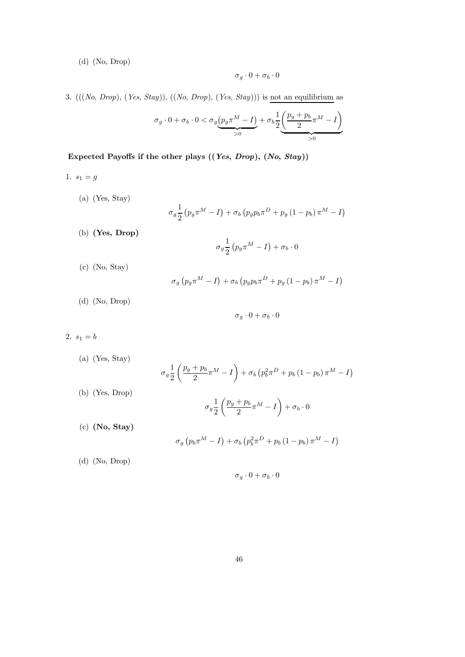(d) (No, Drop)

$$
\sigma_g \cdot 0 + \sigma_b \cdot 0
$$

3.  $(((No, Drop), (Yes, Stay)), ((No, Drop), (Yes, Stay)))$  is not an equilibrium as

$$
\sigma_g \cdot 0 + \sigma_b \cdot 0 < \sigma_g \underbrace{\left(p_g \pi^M - I\right)}_{>0} + \sigma_b \frac{1}{2} \underbrace{\left(\frac{p_g + p_b}{2} \pi^M - I\right)}_{>0}
$$

Expected Payoffs if the other plays ((Yes, Drop), (No, Stay))

- 1.  $s_1 = g$ 
	- (a) (Yes, Stay)

$$
\sigma_g \frac{1}{2} \left( p_g \pi^M - I \right) + \sigma_b \left( p_g p_b \pi^D + p_g \left( 1 - p_b \right) \pi^M - I \right)
$$

(b) (Yes, Drop)

$$
\sigma_g \frac{1}{2} \left( p_g \pi^M - I \right) + \sigma_b \cdot 0
$$

(c) (No, Stay)

$$
\sigma_g \left( p_g \pi^M - I \right) + \sigma_b \left( p_g p_b \pi^D + p_g \left( 1 - p_b \right) \pi^M - I \right)
$$

(d) (No, Drop)

$$
\sigma_g \cdot 0 + \sigma_b \cdot 0
$$

2.  $s_1 = b$ 

(a) (Yes, Stay)  
\n
$$
\sigma_g \frac{1}{2} \left( \frac{p_g + p_b}{2} \pi^M - I \right) + \sigma_b \left( p_b^2 \pi^D + p_b \left( 1 - p_b \right) \pi^M - I \right)
$$
\n(b) (Yes, Drop)  
\n
$$
\sigma_g \frac{1}{2} \left( \frac{p_g + p_b}{2} \pi^M - I \right) + \sigma_b \cdot 0
$$
\n(c) (No, Stay)  
\n
$$
\sigma_g \left( p_b \pi^M - I \right) + \sigma_b \left( p_b^2 \pi^D + p_b \left( 1 - p_b \right) \pi^M - I \right)
$$

(d) (No, Drop)

$$
\sigma_g\cdot 0+\sigma_b\cdot 0
$$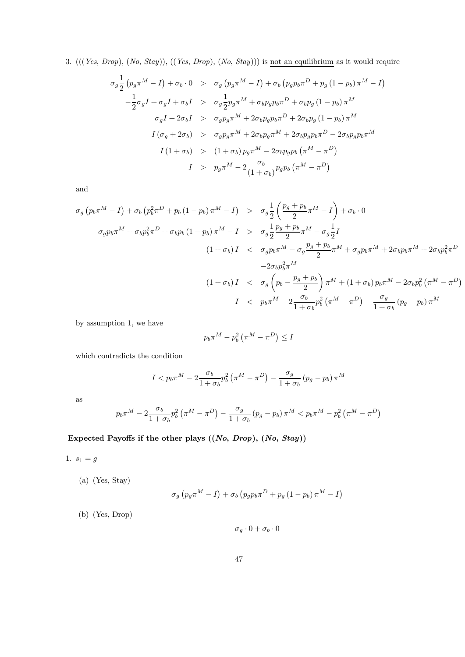3. (((Yes, Drop), (No, Stay)), ((Yes, Drop), (No, Stay))) is not an equilibrium as it would require

$$
\sigma_g \frac{1}{2} (p_g \pi^M - I) + \sigma_b \cdot 0 \quad > \quad \sigma_g (p_g \pi^M - I) + \sigma_b (p_g p_b \pi^D + p_g (1 - p_b) \pi^M - I)
$$
\n
$$
- \frac{1}{2} \sigma_g I + \sigma_g I + \sigma_b I \quad > \quad \sigma_g \frac{1}{2} p_g \pi^M + \sigma_b p_g p_b \pi^D + \sigma_b p_g (1 - p_b) \pi^M
$$
\n
$$
\sigma_g I + 2 \sigma_b I \quad > \quad \sigma_g p_g \pi^M + 2 \sigma_b p_g p_b \pi^D + 2 \sigma_b p_g (1 - p_b) \pi^M
$$
\n
$$
I (\sigma_g + 2 \sigma_b) \quad > \quad \sigma_g p_g \pi^M + 2 \sigma_b p_g \pi^M + 2 \sigma_b p_g p_b \pi^D - 2 \sigma_b p_g p_b \pi^M
$$
\n
$$
I (1 + \sigma_b) \quad > \quad (1 + \sigma_b) p_g \pi^M - 2 \sigma_b p_g p_b (\pi^M - \pi^D)
$$
\n
$$
I \quad > \quad p_g \pi^M - 2 \frac{\sigma_b}{(1 + \sigma_b)} p_g p_b (\pi^M - \pi^D)
$$

and

$$
\sigma_g (p_b \pi^M - I) + \sigma_b (p_b^2 \pi^D + p_b (1 - p_b) \pi^M - I) > \sigma_g \frac{1}{2} \left( \frac{p_g + p_b}{2} \pi^M - I \right) + \sigma_b \cdot 0
$$
  

$$
\sigma_g p_b \pi^M + \sigma_b p_b^2 \pi^D + \sigma_b p_b (1 - p_b) \pi^M - I > \sigma_g \frac{1}{2} \frac{p_g + p_b}{2} \pi^M - \sigma_g \frac{1}{2} I
$$
  

$$
(1 + \sigma_b) I < \sigma_g p_b \pi^M - \sigma_g \frac{p_g + p_b}{2} \pi^M + \sigma_g p_b \pi^M + 2 \sigma_b p_b \pi^M + 2 \sigma_b p_b^2 \pi^D
$$
  

$$
-2 \sigma_b p_b^2 \pi^M
$$
  

$$
(1 + \sigma_b) I < \sigma_g \left( p_b - \frac{p_g + p_b}{2} \right) \pi^M + (1 + \sigma_b) p_b \pi^M - 2 \sigma_b p_b^2 (\pi^M - \pi^D)
$$
  

$$
I < p_b \pi^M - 2 \frac{\sigma_b}{1 + \sigma_b} p_b^2 (\pi^M - \pi^D) - \frac{\sigma_g}{1 + \sigma_b} (p_g - p_b) \pi^M
$$

by assumption 1, we have

$$
p_b \pi^M - p_b^2 \left( \pi^M - \pi^D \right) \leq I
$$

which contradicts the condition

$$
I < p_b \pi^M - 2 \frac{\sigma_b}{1 + \sigma_b} p_b^2 \left( \pi^M - \pi^D \right) - \frac{\sigma_g}{1 + \sigma_b} \left( p_g - p_b \right) \pi^M
$$

as

$$
p_b \pi^M - 2 \frac{\sigma_b}{1 + \sigma_b} p_b^2 \left( \pi^M - \pi^D \right) - \frac{\sigma_g}{1 + \sigma_b} \left( p_g - p_b \right) \pi^M < p_b \pi^M - p_b^2 \left( \pi^M - \pi^D \right)
$$

Expected Payoffs if the other plays ((No, Drop), (No, Stay))

1.  $s_1 = g$ 

(a) (Yes, Stay)

$$
\sigma_g \left( p_g \pi^M - I \right) + \sigma_b \left( p_g p_b \pi^D + p_g \left( 1 - p_b \right) \pi^M - I \right)
$$

(b) (Yes, Drop)

 $\sigma_g \cdot 0 + \sigma_b \cdot 0$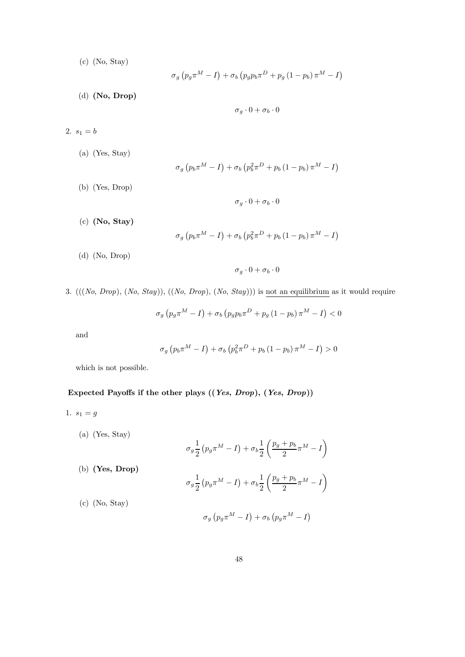(c) (No, Stay)

$$
\sigma_g \left( p_g \pi^M - I \right) + \sigma_b \left( p_g p_b \pi^D + p_g \left( 1 - p_b \right) \pi^M - I \right)
$$

(d) (No, Drop)

$$
\sigma_g\cdot 0+\sigma_b\cdot 0
$$

- 2.  $s_1 = b$ 
	- (a) (Yes, Stay)

$$
\sigma_g \left( p_b \pi^M - I \right) + \sigma_b \left( p_b^2 \pi^D + p_b \left( 1 - p_b \right) \pi^M - I \right)
$$

 $\sigma_g \cdot 0 + \sigma_b \cdot 0$ 

- (b) (Yes, Drop)
- 
- (c) (No, Stay)

$$
\sigma_g \left( p_b \pi^M - I \right) + \sigma_b \left( p_b^2 \pi^D + p_b \left( 1 - p_b \right) \pi^M - I \right)
$$

(d) (No, Drop)

 $\sigma_a \cdot 0 + \sigma_b \cdot 0$ 

3.  $(((No, Drop), (No, stay)), ((No, Drop), (No, stay)))$  is not an equilibrium as it would require

 $\sigma_g \left( p_g \pi^M - I \right) + \sigma_b \left( p_g p_b \pi^D + p_g \left( 1 - p_b \right) \pi^M - I \right) < 0$ 

and

$$
\sigma_g \left( p_b \pi^M - I \right) + \sigma_b \left( p_b^2 \pi^D + p_b \left( 1 - p_b \right) \pi^M - I \right) > 0
$$

which is not possible.

### Expected Payoffs if the other plays ((Yes, Drop), (Yes, Drop))

1.  $s_1 = g$ 

(a) (Yes, Stay)  
\n
$$
\sigma_g \frac{1}{2} (p_g \pi^M - I) + \sigma_b \frac{1}{2} \left( \frac{p_g + p_b}{2} \pi^M - I \right)
$$
\n(b) **(Yes, Drop)**  
\n
$$
\sigma_g \frac{1}{2} (p_g \pi^M - I) + \sigma_b \frac{1}{2} \left( \frac{p_g + p_b}{2} \pi^M - I \right)
$$
\n(c) (No, Stay)  
\n
$$
\sigma_g (p_g \pi^M - I) + \sigma_b (p_g \pi^M - I)
$$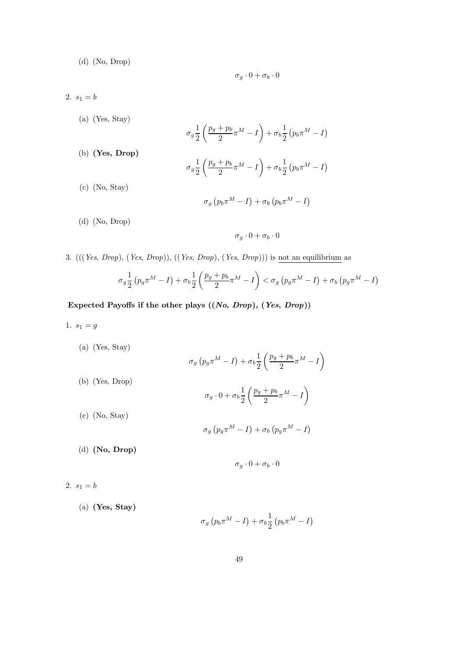(d) (No, Drop)

$$
\sigma_g\cdot 0+\sigma_b\cdot 0
$$

- 2.  $s_1 = b$ 
	- (a) (Yes, Stay)  $\sigma_g \frac{1}{2}$ 2  $\left(\frac{p_g+p_b}{2}\pi^M-I\right)$  $+\sigma_b\frac{1}{2}$ 2  $\left(p_b \pi^M - I \right)$ (b) (Yes, Drop)  $\sigma_g \frac{1}{2}$ 2  $\left(\frac{p_g+p_b}{2}\pi^M-I\right)$  $+\sigma_b \frac{1}{2}$ 2  $\left(p_b \pi^M - I \right)$ (c) (No, Stay)  $\sigma_g(p_b \pi^M - I) + \sigma_b(p_b \pi^M - I)$
	- (d) (No, Drop)

$$
\sigma_g \cdot 0 + \sigma_b \cdot 0
$$

3. (((Yes, Drop), (Yes, Drop)), ((Yes, Drop), (Yes, Drop))) is not an equilibrium as

$$
\sigma_g \frac{1}{2} \left( p_g \pi^M - I \right) + \sigma_b \frac{1}{2} \left( \frac{p_g + p_b}{2} \pi^M - I \right) < \sigma_g \left( p_g \pi^M - I \right) + \sigma_b \left( p_g \pi^M - I \right)
$$

Expected Payoffs if the other plays  $((No, Drop), (Yes, Drop))$ 

1.  $s_1 = g$ 

(a) (Yes, Stay)  
\n
$$
\sigma_g (p_g \pi^M - I) + \sigma_b \frac{1}{2} \left( \frac{p_g + p_b}{2} \pi^M - I \right)
$$
\n(b) (Yes, Drop)  
\n
$$
\sigma_g \cdot 0 + \sigma_b \frac{1}{2} \left( \frac{p_g + p_b}{2} \pi^M - I \right)
$$
\n(c) (No, Stay)  
\n
$$
\sigma_g (p_g \pi^M - I) + \sigma_b (p_g \pi^M - I)
$$
\n(d) (No, Drop)

$$
\sigma_g \cdot 0 + \sigma_b \cdot 0
$$

2.  $s_1 = b$ 

(a) (Yes, Stay)

$$
\sigma_g \left( p_b \pi^M - I \right) + \sigma_b \frac{1}{2} \left( p_b \pi^M - I \right)
$$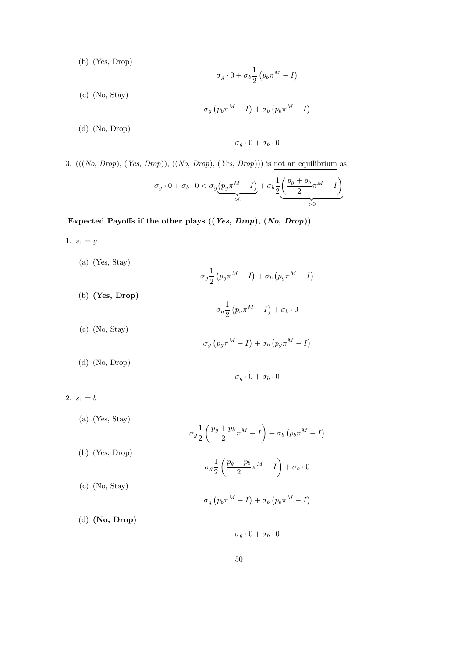(b) (Yes, Drop)

$$
\sigma_g\cdot 0+\sigma_b {1\over 2}\left(p_b\pi^M-I\right)
$$

(c) (No, Stay)

$$
\sigma_g \left( p_b \pi^M - I \right) + \sigma_b \left( p_b \pi^M - I \right)
$$

(d) (No, Drop)

$$
\sigma_g \cdot 0 + \sigma_b \cdot 0
$$

3.  $(((No, Drop), (Yes, Drop)), ((No, Drop), (Yes, Drop)))$  is not an equilibrium as

$$
\sigma_g \cdot 0 + \sigma_b \cdot 0 < \sigma_g \underbrace{\left(p_g \pi^M - I\right)}_{>0} + \sigma_b \frac{1}{2} \underbrace{\left(\frac{p_g + p_b}{2} \pi^M - I\right)}_{>0}
$$

Expected Payoffs if the other plays ((Yes, Drop), (No, Drop))

- 1.  $s_1 = g$ 
	- (a) (Yes, Stay)

$$
\sigma_g \frac{1}{2} \left( p_g \pi^M - I \right) + \sigma_b \left( p_g \pi^M - I \right)
$$

 $\sigma_g \frac{1}{2}$ 2  $\left(p_g \pi^M - I\right) + \sigma_b \cdot 0$ 

(c) (No, Stay)

(b) (Yes, Drop)

$$
\sigma_g \left( p_g \pi^M - I \right) + \sigma_b \left( p_g \pi^M - I \right)
$$

(d) (No, Drop)

$$
\sigma_g \cdot 0 + \sigma_b \cdot 0
$$

2.  $s_1 = b$ 

(a) (Yes, Stay)  
\n
$$
\sigma_g \frac{1}{2} \left( \frac{p_g + p_b}{2} \pi^M - I \right) + \sigma_b \left( p_b \pi^M - I \right)
$$
\n(b) (Yes, Drop)  
\n
$$
\sigma_g \frac{1}{2} \left( \frac{p_g + p_b}{2} \pi^M - I \right) + \sigma_b \cdot 0
$$
\n(c) (No, Stay)  
\n
$$
\sigma_g \left( p_b \pi^M - I \right) + \sigma_b \left( p_b \pi^M - I \right)
$$
\n(d) (No, Drop)

 $\sigma_g \cdot 0 + \sigma_b \cdot 0$